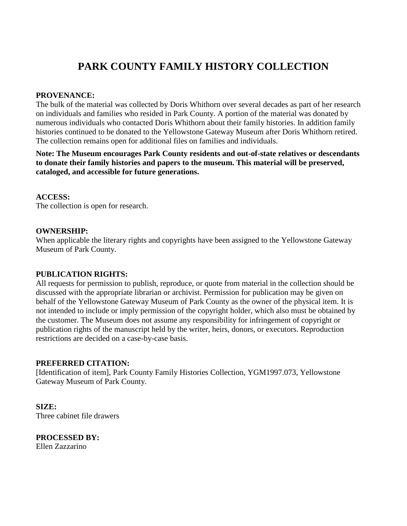# **PARK COUNTY FAMILY HISTORY COLLECTION**

### **PROVENANCE:**

The bulk of the material was collected by Doris Whithorn over several decades as part of her research on individuals and families who resided in Park County. A portion of the material was donated by numerous individuals who contacted Doris Whithorn about their family histories. In addition family histories continued to be donated to the Yellowstone Gateway Museum after Doris Whithorn retired. The collection remains open for additional files on families and individuals.

**Note: The Museum encourages Park County residents and out-of-state relatives or descendants to donate their family histories and papers to the museum. This material will be preserved, cataloged, and accessible for future generations.**

#### **ACCESS:**

The collection is open for research.

#### **OWNERSHIP:**

When applicable the literary rights and copyrights have been assigned to the Yellowstone Gateway Museum of Park County.

#### **PUBLICATION RIGHTS:**

All requests for permission to publish, reproduce, or quote from material in the collection should be discussed with the appropriate librarian or archivist. Permission for publication may be given on behalf of the Yellowstone Gateway Museum of Park County as the owner of the physical item. It is not intended to include or imply permission of the copyright holder, which also must be obtained by the customer. The Museum does not assume any responsibility for infringement of copyright or publication rights of the manuscript held by the writer, heirs, donors, or executors. Reproduction restrictions are decided on a case-by-case basis.

#### **PREFERRED CITATION:**

[Identification of item], Park County Family Histories Collection, YGM1997.073, Yellowstone Gateway Museum of Park County.

**SIZE:** Three cabinet file drawers

**PROCESSED BY:** Ellen Zazzarino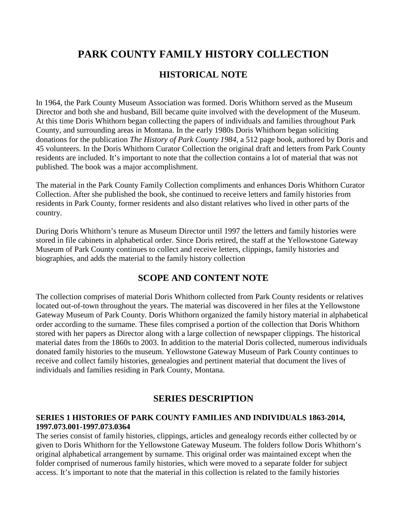## **PARK COUNTY FAMILY HISTORY COLLECTION**

### **HISTORICAL NOTE**

In 1964, the Park County Museum Association was formed. Doris Whithorn served as the Museum Director and both she and husband, Bill became quite involved with the development of the Museum. At this time Doris Whithorn began collecting the papers of individuals and families throughout Park County, and surrounding areas in Montana. In the early 1980s Doris Whithorn began soliciting donations for the publication *The History of Park County 1984*, a 512 page book, authored by Doris and 45 volunteers. In the Doris Whithorn Curator Collection the original draft and letters from Park County residents are included. It's important to note that the collection contains a lot of material that was not published. The book was a major accomplishment.

The material in the Park County Family Collection compliments and enhances Doris Whithorn Curator Collection. After she published the book, she continued to receive letters and family histories from residents in Park County, former residents and also distant relatives who lived in other parts of the country.

During Doris Whithorn's tenure as Museum Director until 1997 the letters and family histories were stored in file cabinets in alphabetical order. Since Doris retired, the staff at the Yellowstone Gateway Museum of Park County continues to collect and receive letters, clippings, family histories and biographies, and adds the material to the family history collection

### **SCOPE AND CONTENT NOTE**

The collection comprises of material Doris Whithorn collected from Park County residents or relatives located out-of-town throughout the years. The material was discovered in her files at the Yellowstone Gateway Museum of Park County. Doris Whithorn organized the family history material in alphabetical order according to the surname. These files comprised a portion of the collection that Doris Whithorn stored with her papers as Director along with a large collection of newspaper clippings. The historical material dates from the 1860s to 2003. In addition to the material Doris collected, numerous individuals donated family histories to the museum. Yellowstone Gateway Museum of Park County continues to receive and collect family histories, genealogies and pertinent material that document the lives of individuals and families residing in Park County, Montana.

### **SERIES DESCRIPTION**

### **SERIES 1 HISTORIES OF PARK COUNTY FAMILIES AND INDIVIDUALS 1863-2014, 1997.073.001-1997.073.0364**

The series consist of family histories, clippings, articles and genealogy records either collected by or given to Doris Whithorn for the Yellowstone Gateway Museum. The folders follow Doris Whithorn's original alphabetical arrangement by surname. This original order was maintained except when the folder comprised of numerous family histories, which were moved to a separate folder for subject access. It's important to note that the material in this collection is related to the family histories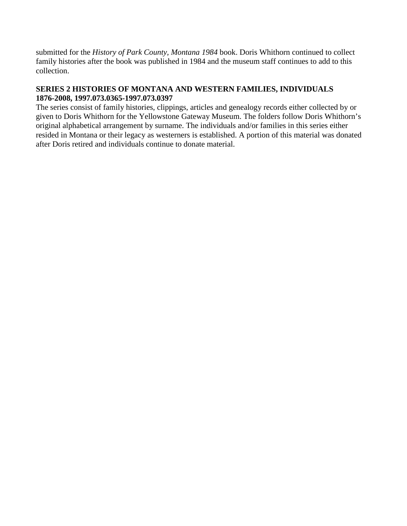submitted for the *History of Park County, Montana 1984* book. Doris Whithorn continued to collect family histories after the book was published in 1984 and the museum staff continues to add to this collection.

### **SERIES 2 HISTORIES OF MONTANA AND WESTERN FAMILIES, INDIVIDUALS 1876-2008, 1997.073.0365-1997.073.0397**

The series consist of family histories, clippings, articles and genealogy records either collected by or given to Doris Whithorn for the Yellowstone Gateway Museum. The folders follow Doris Whithorn's original alphabetical arrangement by surname. The individuals and/or families in this series either resided in Montana or their legacy as westerners is established. A portion of this material was donated after Doris retired and individuals continue to donate material.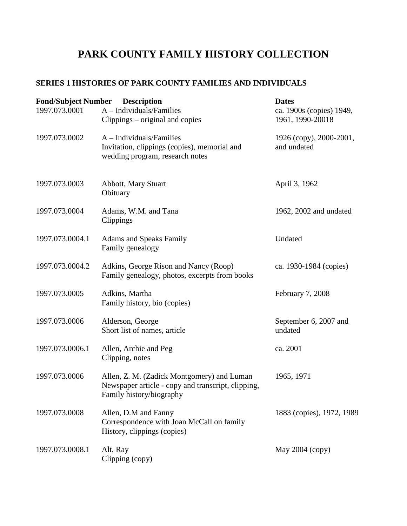# **PARK COUNTY FAMILY HISTORY COLLECTION**

### **SERIES 1 HISTORIES OF PARK COUNTY FAMILIES AND INDIVIDUALS**

| <b>Fond/Subject Number</b> | <b>Description</b>                                                                                                           | <b>Dates</b>                                 |
|----------------------------|------------------------------------------------------------------------------------------------------------------------------|----------------------------------------------|
| 1997.073.0001              | $A$ – Individuals/Families<br>Clippings – original and copies                                                                | ca. 1900s (copies) 1949,<br>1961, 1990-20018 |
| 1997.073.0002              | $A$ – Individuals/Families<br>Invitation, clippings (copies), memorial and<br>wedding program, research notes                | 1926 (copy), 2000-2001,<br>and undated       |
| 1997.073.0003              | Abbott, Mary Stuart<br>Obituary                                                                                              | April 3, 1962                                |
| 1997.073.0004              | Adams, W.M. and Tana<br>Clippings                                                                                            | 1962, 2002 and undated                       |
| 1997.073.0004.1            | <b>Adams and Speaks Family</b><br>Family genealogy                                                                           | Undated                                      |
| 1997.073.0004.2            | Adkins, George Rison and Nancy (Roop)<br>Family genealogy, photos, excerpts from books                                       | ca. 1930-1984 (copies)                       |
| 1997.073.0005              | Adkins, Martha<br>Family history, bio (copies)                                                                               | February 7, 2008                             |
| 1997.073.0006              | Alderson, George<br>Short list of names, article                                                                             | September 6, 2007 and<br>undated             |
| 1997.073.0006.1            | Allen, Archie and Peg<br>Clipping, notes                                                                                     | ca. 2001                                     |
| 1997.073.0006              | Allen, Z. M. (Zadick Montgomery) and Luman<br>Newspaper article - copy and transcript, clipping,<br>Family history/biography | 1965, 1971                                   |
| 1997.073.0008              | Allen, D.M and Fanny<br>Correspondence with Joan McCall on family<br>History, clippings (copies)                             | 1883 (copies), 1972, 1989                    |
| 1997.073.0008.1            | Alt, Ray<br>Clipping (copy)                                                                                                  | May 2004 (copy)                              |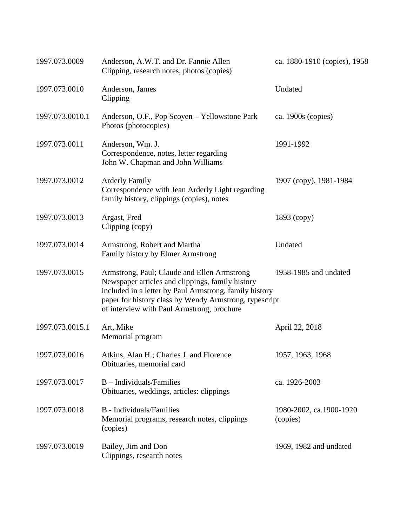| 1997.073.0009   | Anderson, A.W.T. and Dr. Fannie Allen<br>Clipping, research notes, photos (copies)                                                                                                                                                                                | ca. 1880-1910 (copies), 1958        |
|-----------------|-------------------------------------------------------------------------------------------------------------------------------------------------------------------------------------------------------------------------------------------------------------------|-------------------------------------|
| 1997.073.0010   | Anderson, James<br>Clipping                                                                                                                                                                                                                                       | Undated                             |
| 1997.073.0010.1 | Anderson, O.F., Pop Scoyen – Yellowstone Park<br>Photos (photocopies)                                                                                                                                                                                             | ca. 1900s (copies)                  |
| 1997.073.0011   | Anderson, Wm. J.<br>Correspondence, notes, letter regarding<br>John W. Chapman and John Williams                                                                                                                                                                  | 1991-1992                           |
| 1997.073.0012   | <b>Arderly Family</b><br>Correspondence with Jean Arderly Light regarding<br>family history, clippings (copies), notes                                                                                                                                            | 1907 (copy), 1981-1984              |
| 1997.073.0013   | Argast, Fred<br>Clipping (copy)                                                                                                                                                                                                                                   | $1893$ (copy)                       |
| 1997.073.0014   | Armstrong, Robert and Martha<br>Family history by Elmer Armstrong                                                                                                                                                                                                 | Undated                             |
| 1997.073.0015   | Armstrong, Paul; Claude and Ellen Armstrong<br>Newspaper articles and clippings, family history<br>included in a letter by Paul Armstrong, family history<br>paper for history class by Wendy Armstrong, typescript<br>of interview with Paul Armstrong, brochure | 1958-1985 and undated               |
| 1997.073.0015.1 | Art, Mike<br>Memorial program                                                                                                                                                                                                                                     | April 22, 2018                      |
| 1997.073.0016   | Atkins, Alan H.; Charles J. and Florence<br>Obituaries, memorial card                                                                                                                                                                                             | 1957, 1963, 1968                    |
| 1997.073.0017   | $B$ – Individuals/Families<br>Obituaries, weddings, articles: clippings                                                                                                                                                                                           | ca. 1926-2003                       |
| 1997.073.0018   | <b>B</b> - Individuals/Families<br>Memorial programs, research notes, clippings<br>(copies)                                                                                                                                                                       | 1980-2002, ca.1900-1920<br>(copies) |
| 1997.073.0019   | Bailey, Jim and Don<br>Clippings, research notes                                                                                                                                                                                                                  | 1969, 1982 and undated              |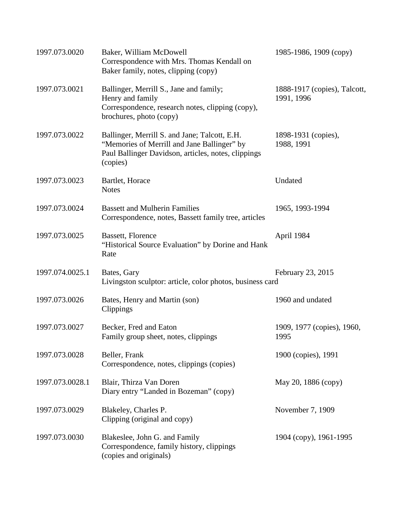| 1997.073.0020   | Baker, William McDowell<br>Correspondence with Mrs. Thomas Kendall on<br>Baker family, notes, clipping (copy)                                                   | 1985-1986, 1909 (copy)                     |
|-----------------|-----------------------------------------------------------------------------------------------------------------------------------------------------------------|--------------------------------------------|
| 1997.073.0021   | Ballinger, Merrill S., Jane and family;<br>Henry and family<br>Correspondence, research notes, clipping (copy),<br>brochures, photo (copy)                      | 1888-1917 (copies), Talcott,<br>1991, 1996 |
| 1997.073.0022   | Ballinger, Merrill S. and Jane; Talcott, E.H.<br>"Memories of Merrill and Jane Ballinger" by<br>Paul Ballinger Davidson, articles, notes, clippings<br>(copies) | 1898-1931 (copies),<br>1988, 1991          |
| 1997.073.0023   | Bartlet, Horace<br><b>Notes</b>                                                                                                                                 | Undated                                    |
| 1997.073.0024   | <b>Bassett and Mulherin Families</b><br>Correspondence, notes, Bassett family tree, articles                                                                    | 1965, 1993-1994                            |
| 1997.073.0025   | Bassett, Florence<br>"Historical Source Evaluation" by Dorine and Hank<br>Rate                                                                                  | April 1984                                 |
| 1997.074.0025.1 | Bates, Gary<br>Livingston sculptor: article, color photos, business card                                                                                        | February 23, 2015                          |
| 1997.073.0026   | Bates, Henry and Martin (son)<br>Clippings                                                                                                                      | 1960 and undated                           |
| 1997.073.0027   | Becker, Fred and Eaton<br>Family group sheet, notes, clippings                                                                                                  | 1909, 1977 (copies), 1960,<br>1995         |
| 1997.073.0028   | Beller, Frank<br>Correspondence, notes, clippings (copies)                                                                                                      | 1900 (copies), 1991                        |
| 1997.073.0028.1 | Blair, Thirza Van Doren<br>Diary entry "Landed in Bozeman" (copy)                                                                                               | May 20, 1886 (copy)                        |
| 1997.073.0029   | Blakeley, Charles P.<br>Clipping (original and copy)                                                                                                            | November 7, 1909                           |
| 1997.073.0030   | Blakeslee, John G. and Family<br>Correspondence, family history, clippings<br>(copies and originals)                                                            | 1904 (copy), 1961-1995                     |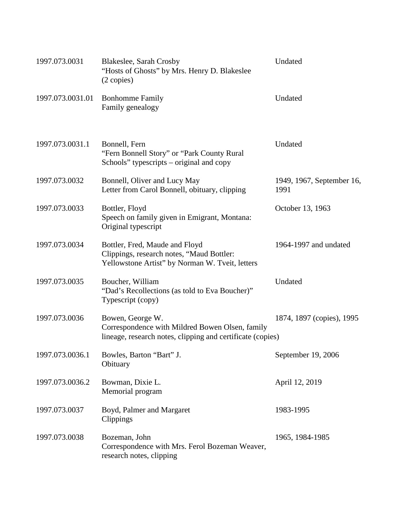| 1997.073.0031    | <b>Blakeslee, Sarah Crosby</b><br>"Hosts of Ghosts" by Mrs. Henry D. Blakeslee<br>(2 copies)                                      | Undated                           |
|------------------|-----------------------------------------------------------------------------------------------------------------------------------|-----------------------------------|
| 1997.073.0031.01 | <b>Bonhomme Family</b><br>Family genealogy                                                                                        | Undated                           |
| 1997.073.0031.1  | Bonnell, Fern<br>"Fern Bonnell Story" or "Park County Rural"<br>Schools" typescripts – original and copy                          | Undated                           |
| 1997.073.0032    | Bonnell, Oliver and Lucy May<br>Letter from Carol Bonnell, obituary, clipping                                                     | 1949, 1967, September 16,<br>1991 |
| 1997.073.0033    | Bottler, Floyd<br>Speech on family given in Emigrant, Montana:<br>Original typescript                                             | October 13, 1963                  |
| 1997.073.0034    | Bottler, Fred, Maude and Floyd<br>Clippings, research notes, "Maud Bottler:<br>Yellowstone Artist" by Norman W. Tveit, letters    | 1964-1997 and undated             |
| 1997.073.0035    | Boucher, William<br>"Dad's Recollections (as told to Eva Boucher)"<br>Typescript (copy)                                           | Undated                           |
| 1997.073.0036    | Bowen, George W.<br>Correspondence with Mildred Bowen Olsen, family<br>lineage, research notes, clipping and certificate (copies) | 1874, 1897 (copies), 1995         |
| 1997.073.0036.1  | Bowles, Barton "Bart" J.<br>Obituary                                                                                              | September 19, 2006                |
| 1997.073.0036.2  | Bowman, Dixie L.<br>Memorial program                                                                                              | April 12, 2019                    |
| 1997.073.0037    | Boyd, Palmer and Margaret<br>Clippings                                                                                            | 1983-1995                         |
| 1997.073.0038    | Bozeman, John<br>Correspondence with Mrs. Ferol Bozeman Weaver,<br>research notes, clipping                                       | 1965, 1984-1985                   |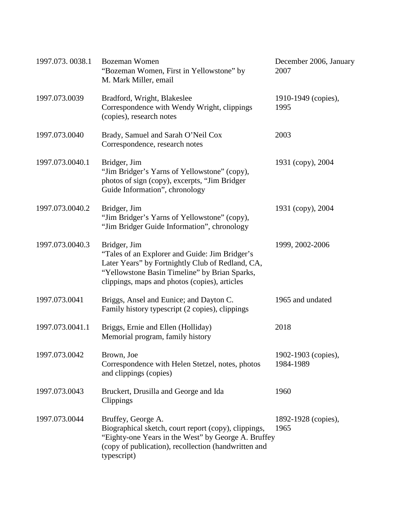| 1997.073.0038.1 | Bozeman Women<br>"Bozeman Women, First in Yellowstone" by<br>M. Mark Miller, email                                                                                                                                   | December 2006, January<br>2007   |
|-----------------|----------------------------------------------------------------------------------------------------------------------------------------------------------------------------------------------------------------------|----------------------------------|
| 1997.073.0039   | Bradford, Wright, Blakeslee<br>Correspondence with Wendy Wright, clippings<br>(copies), research notes                                                                                                               | 1910-1949 (copies),<br>1995      |
| 1997.073.0040   | Brady, Samuel and Sarah O'Neil Cox<br>Correspondence, research notes                                                                                                                                                 | 2003                             |
| 1997.073.0040.1 | Bridger, Jim<br>"Jim Bridger's Yarns of Yellowstone" (copy),<br>photos of sign (copy), excerpts, "Jim Bridger<br>Guide Information", chronology                                                                      | 1931 (copy), 2004                |
| 1997.073.0040.2 | Bridger, Jim<br>"Jim Bridger's Yarns of Yellowstone" (copy),<br>"Jim Bridger Guide Information", chronology                                                                                                          | 1931 (copy), 2004                |
| 1997.073.0040.3 | Bridger, Jim<br>"Tales of an Explorer and Guide: Jim Bridger's<br>Later Years" by Fortnightly Club of Redland, CA,<br>"Yellowstone Basin Timeline" by Brian Sparks,<br>clippings, maps and photos (copies), articles | 1999, 2002-2006                  |
| 1997.073.0041   | Briggs, Ansel and Eunice; and Dayton C.<br>Family history typescript (2 copies), clippings                                                                                                                           | 1965 and undated                 |
| 1997.073.0041.1 | Briggs, Ernie and Ellen (Holliday)<br>Memorial program, family history                                                                                                                                               | 2018                             |
| 1997.073.0042   | Brown, Joe<br>Correspondence with Helen Stetzel, notes, photos<br>and clippings (copies)                                                                                                                             | 1902-1903 (copies),<br>1984-1989 |
| 1997.073.0043   | Bruckert, Drusilla and George and Ida<br>Clippings                                                                                                                                                                   | 1960                             |
| 1997.073.0044   | Bruffey, George A.<br>Biographical sketch, court report (copy), clippings,<br>"Eighty-one Years in the West" by George A. Bruffey<br>(copy of publication), recollection (handwritten and<br>typescript)             | 1892-1928 (copies),<br>1965      |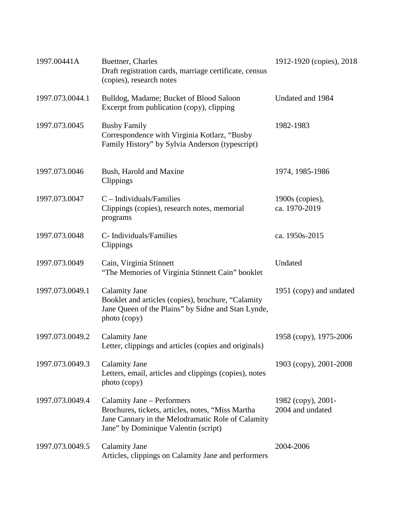| 1997.00441A     | Buettner, Charles<br>Draft registration cards, marriage certificate, census<br>(copies), research notes                                                                      | 1912-1920 (copies), 2018               |
|-----------------|------------------------------------------------------------------------------------------------------------------------------------------------------------------------------|----------------------------------------|
| 1997.073.0044.1 | Bulldog, Madame; Bucket of Blood Saloon<br>Excerpt from publication (copy), clipping                                                                                         | Undated and 1984                       |
| 1997.073.0045   | <b>Busby Family</b><br>Correspondence with Virginia Kotlarz, "Busby<br>Family History" by Sylvia Anderson (typescript)                                                       | 1982-1983                              |
| 1997.073.0046   | Bush, Harold and Maxine<br>Clippings                                                                                                                                         | 1974, 1985-1986                        |
| 1997.073.0047   | $C$ – Individuals/Families<br>Clippings (copies), research notes, memorial<br>programs                                                                                       | $1900s$ (copies),<br>ca. 1970-2019     |
| 1997.073.0048   | C- Individuals/Families<br>Clippings                                                                                                                                         | ca. 1950s-2015                         |
| 1997.073.0049   | Cain, Virginia Stinnett<br>"The Memories of Virginia Stinnett Cain" booklet                                                                                                  | Undated                                |
| 1997.073.0049.1 | <b>Calamity Jane</b><br>Booklet and articles (copies), brochure, "Calamity<br>Jane Queen of the Plains" by Sidne and Stan Lynde,<br>photo (copy)                             | 1951 (copy) and undated                |
| 1997.073.0049.2 | <b>Calamity Jane</b><br>Letter, clippings and articles (copies and originals)                                                                                                | 1958 (copy), 1975-2006                 |
| 1997.073.0049.3 | <b>Calamity Jane</b><br>Letters, email, articles and clippings (copies), notes<br>photo (copy)                                                                               | 1903 (copy), 2001-2008                 |
| 1997.073.0049.4 | Calamity Jane – Performers<br>Brochures, tickets, articles, notes, "Miss Martha<br>Jane Cannary in the Melodramatic Role of Calamity<br>Jane" by Dominique Valentin (script) | 1982 (copy), 2001-<br>2004 and undated |
| 1997.073.0049.5 | <b>Calamity Jane</b><br>Articles, clippings on Calamity Jane and performers                                                                                                  | 2004-2006                              |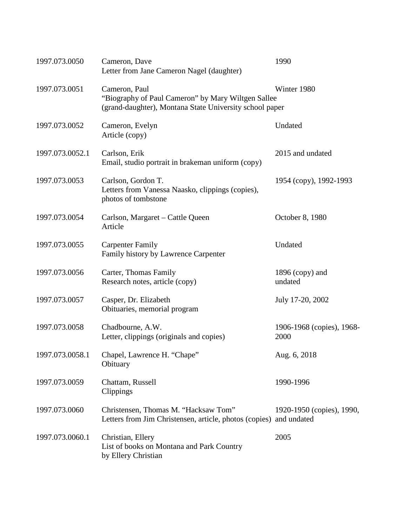| 1997.073.0050   | Cameron, Dave<br>Letter from Jane Cameron Nagel (daughter)                                                                     | 1990                                     |
|-----------------|--------------------------------------------------------------------------------------------------------------------------------|------------------------------------------|
| 1997.073.0051   | Cameron, Paul<br>"Biography of Paul Cameron" by Mary Wiltgen Sallee<br>(grand-daughter), Montana State University school paper | Winter 1980                              |
| 1997.073.0052   | Cameron, Evelyn<br>Article (copy)                                                                                              | Undated                                  |
| 1997.073.0052.1 | Carlson, Erik<br>Email, studio portrait in brakeman uniform (copy)                                                             | 2015 and undated                         |
| 1997.073.0053   | Carlson, Gordon T.<br>Letters from Vanessa Naasko, clippings (copies),<br>photos of tombstone                                  | 1954 (copy), 1992-1993                   |
| 1997.073.0054   | Carlson, Margaret – Cattle Queen<br>Article                                                                                    | October 8, 1980                          |
| 1997.073.0055   | <b>Carpenter Family</b><br>Family history by Lawrence Carpenter                                                                | Undated                                  |
| 1997.073.0056   | Carter, Thomas Family<br>Research notes, article (copy)                                                                        | $1896$ (copy) and<br>undated             |
| 1997.073.0057   | Casper, Dr. Elizabeth<br>Obituaries, memorial program                                                                          | July 17-20, 2002                         |
| 1997.073.0058   | Chadbourne, A.W.<br>Letter, clippings (originals and copies)                                                                   | 1906-1968 (copies), 1968-<br>2000        |
| 1997.073.0058.1 | Chapel, Lawrence H. "Chape"<br>Obituary                                                                                        | Aug. 6, 2018                             |
| 1997.073.0059   | Chattam, Russell<br>Clippings                                                                                                  | 1990-1996                                |
| 1997.073.0060   | Christensen, Thomas M. "Hacksaw Tom"<br>Letters from Jim Christensen, article, photos (copies)                                 | 1920-1950 (copies), 1990,<br>and undated |
| 1997.073.0060.1 | Christian, Ellery<br>List of books on Montana and Park Country<br>by Ellery Christian                                          | 2005                                     |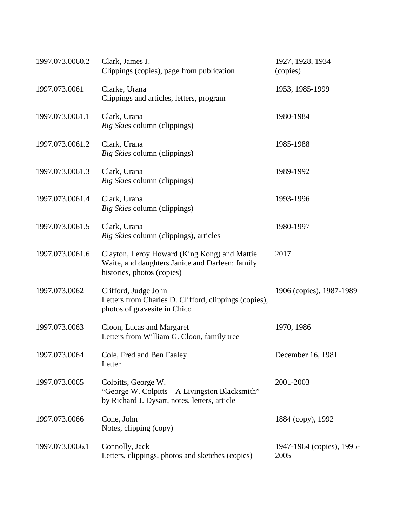| 1997.073.0060.2 | Clark, James J.<br>Clippings (copies), page from publication                                                                  | 1927, 1928, 1934<br>(copies)      |
|-----------------|-------------------------------------------------------------------------------------------------------------------------------|-----------------------------------|
| 1997.073.0061   | Clarke, Urana<br>Clippings and articles, letters, program                                                                     | 1953, 1985-1999                   |
| 1997.073.0061.1 | Clark, Urana<br>Big Skies column (clippings)                                                                                  | 1980-1984                         |
| 1997.073.0061.2 | Clark, Urana<br>Big Skies column (clippings)                                                                                  | 1985-1988                         |
| 1997.073.0061.3 | Clark, Urana<br>Big Skies column (clippings)                                                                                  | 1989-1992                         |
| 1997.073.0061.4 | Clark, Urana<br>Big Skies column (clippings)                                                                                  | 1993-1996                         |
| 1997.073.0061.5 | Clark, Urana<br>Big Skies column (clippings), articles                                                                        | 1980-1997                         |
| 1997.073.0061.6 | Clayton, Leroy Howard (King Kong) and Mattie<br>Waite, and daughters Janice and Darleen: family<br>histories, photos (copies) | 2017                              |
| 1997.073.0062   | Clifford, Judge John<br>Letters from Charles D. Clifford, clippings (copies),<br>photos of gravesite in Chico                 | 1906 (copies), 1987-1989          |
| 1997.073.0063   | Cloon, Lucas and Margaret<br>Letters from William G. Cloon, family tree                                                       | 1970, 1986                        |
| 1997.073.0064   | Cole, Fred and Ben Faaley<br>Letter                                                                                           | December 16, 1981                 |
| 1997.073.0065   | Colpitts, George W.<br>"George W. Colpitts - A Livingston Blacksmith"<br>by Richard J. Dysart, notes, letters, article        | 2001-2003                         |
| 1997.073.0066   | Cone, John<br>Notes, clipping (copy)                                                                                          | 1884 (copy), 1992                 |
| 1997.073.0066.1 | Connolly, Jack<br>Letters, clippings, photos and sketches (copies)                                                            | 1947-1964 (copies), 1995-<br>2005 |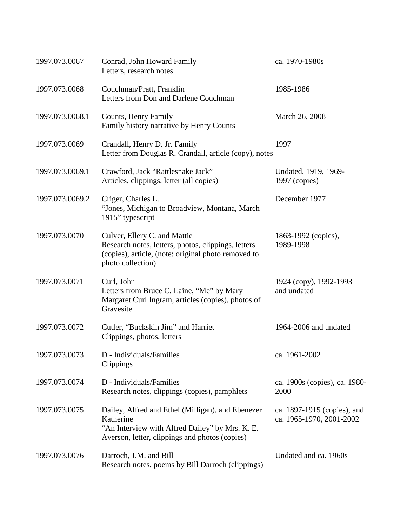| 1997.073.0067   | Conrad, John Howard Family<br>Letters, research notes                                                                                                               | ca. 1970-1980s                                          |
|-----------------|---------------------------------------------------------------------------------------------------------------------------------------------------------------------|---------------------------------------------------------|
| 1997.073.0068   | Couchman/Pratt, Franklin<br>Letters from Don and Darlene Couchman                                                                                                   | 1985-1986                                               |
| 1997.073.0068.1 | Counts, Henry Family<br>Family history narrative by Henry Counts                                                                                                    | March 26, 2008                                          |
| 1997.073.0069   | Crandall, Henry D. Jr. Family<br>Letter from Douglas R. Crandall, article (copy), notes                                                                             | 1997                                                    |
| 1997.073.0069.1 | Crawford, Jack "Rattlesnake Jack"<br>Articles, clippings, letter (all copies)                                                                                       | Undated, 1919, 1969-<br>1997 (copies)                   |
| 1997.073.0069.2 | Criger, Charles L.<br>"Jones, Michigan to Broadview, Montana, March<br>1915" typescript                                                                             | December 1977                                           |
| 1997.073.0070   | Culver, Ellery C. and Mattie<br>Research notes, letters, photos, clippings, letters<br>(copies), article, (note: original photo removed to<br>photo collection)     | 1863-1992 (copies),<br>1989-1998                        |
| 1997.073.0071   | Curl, John<br>Letters from Bruce C. Laine, "Me" by Mary<br>Margaret Curl Ingram, articles (copies), photos of<br>Gravesite                                          | 1924 (copy), 1992-1993<br>and undated                   |
| 1997.073.0072   | Cutler, "Buckskin Jim" and Harriet<br>Clippings, photos, letters                                                                                                    | 1964-2006 and undated                                   |
| 1997.073.0073   | D - Individuals/Families<br>Clippings                                                                                                                               | ca. 1961-2002                                           |
| 1997.073.0074   | D - Individuals/Families<br>Research notes, clippings (copies), pamphlets                                                                                           | ca. 1900s (copies), ca. 1980-<br>2000                   |
| 1997.073.0075   | Dailey, Alfred and Ethel (Milligan), and Ebenezer<br>Katherine<br>"An Interview with Alfred Dailey" by Mrs. K. E.<br>Averson, letter, clippings and photos (copies) | ca. 1897-1915 (copies), and<br>ca. 1965-1970, 2001-2002 |
| 1997.073.0076   | Darroch, J.M. and Bill<br>Research notes, poems by Bill Darroch (clippings)                                                                                         | Undated and ca. 1960s                                   |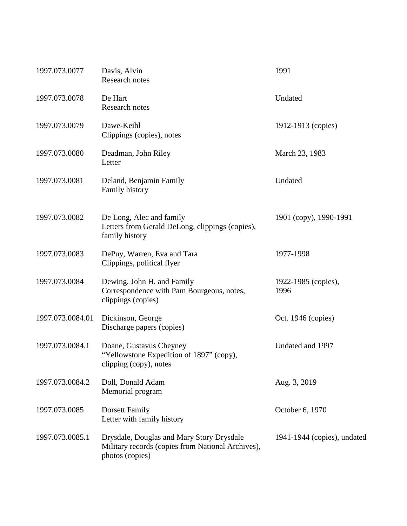| 1997.073.0077    | Davis, Alvin<br>Research notes                                                                                    | 1991                        |
|------------------|-------------------------------------------------------------------------------------------------------------------|-----------------------------|
| 1997.073.0078    | De Hart<br><b>Research notes</b>                                                                                  | Undated                     |
| 1997.073.0079    | Dawe-Keihl<br>Clippings (copies), notes                                                                           | 1912-1913 (copies)          |
| 1997.073.0080    | Deadman, John Riley<br>Letter                                                                                     | March 23, 1983              |
| 1997.073.0081    | Deland, Benjamin Family<br>Family history                                                                         | Undated                     |
| 1997.073.0082    | De Long, Alec and family<br>Letters from Gerald DeLong, clippings (copies),<br>family history                     | 1901 (copy), 1990-1991      |
| 1997.073.0083    | DePuy, Warren, Eva and Tara<br>Clippings, political flyer                                                         | 1977-1998                   |
| 1997.073.0084    | Dewing, John H. and Family<br>Correspondence with Pam Bourgeous, notes,<br>clippings (copies)                     | 1922-1985 (copies),<br>1996 |
| 1997.073.0084.01 | Dickinson, George<br>Discharge papers (copies)                                                                    | Oct. 1946 (copies)          |
| 1997.073.0084.1  | Doane, Gustavus Cheyney<br>"Yellowstone Expedition of 1897" (copy),<br>clipping (copy), notes                     | Undated and 1997            |
| 1997.073.0084.2  | Doll, Donald Adam<br>Memorial program                                                                             | Aug. 3, 2019                |
| 1997.073.0085    | Dorsett Family<br>Letter with family history                                                                      | October 6, 1970             |
| 1997.073.0085.1  | Drysdale, Douglas and Mary Story Drysdale<br>Military records (copies from National Archives),<br>photos (copies) | 1941-1944 (copies), undated |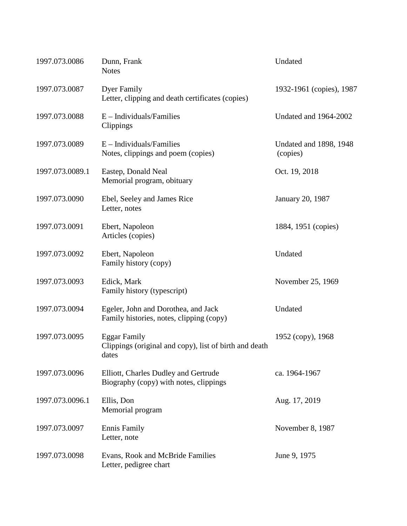| 1997.073.0086   | Dunn, Frank<br><b>Notes</b>                                                            | Undated                            |
|-----------------|----------------------------------------------------------------------------------------|------------------------------------|
| 1997.073.0087   | <b>Dyer Family</b><br>Letter, clipping and death certificates (copies)                 | 1932-1961 (copies), 1987           |
| 1997.073.0088   | $E$ – Individuals/Families<br>Clippings                                                | Undated and 1964-2002              |
| 1997.073.0089   | $E$ – Individuals/Families<br>Notes, clippings and poem (copies)                       | Undated and 1898, 1948<br>(copies) |
| 1997.073.0089.1 | Eastep, Donald Neal<br>Memorial program, obituary                                      | Oct. 19, 2018                      |
| 1997.073.0090   | Ebel, Seeley and James Rice<br>Letter, notes                                           | January 20, 1987                   |
| 1997.073.0091   | Ebert, Napoleon<br>Articles (copies)                                                   | 1884, 1951 (copies)                |
| 1997.073.0092   | Ebert, Napoleon<br>Family history (copy)                                               | Undated                            |
| 1997.073.0093   | Edick, Mark<br>Family history (typescript)                                             | November 25, 1969                  |
| 1997.073.0094   | Egeler, John and Dorothea, and Jack<br>Family histories, notes, clipping (copy)        | Undated                            |
| 1997.073.0095   | <b>Eggar Family</b><br>Clippings (original and copy), list of birth and death<br>dates | 1952 (copy), 1968                  |
| 1997.073.0096   | Elliott, Charles Dudley and Gertrude<br>Biography (copy) with notes, clippings         | ca. 1964-1967                      |
| 1997.073.0096.1 | Ellis, Don<br>Memorial program                                                         | Aug. 17, 2019                      |
| 1997.073.0097   | <b>Ennis Family</b><br>Letter, note                                                    | November 8, 1987                   |
| 1997.073.0098   | Evans, Rook and McBride Families<br>Letter, pedigree chart                             | June 9, 1975                       |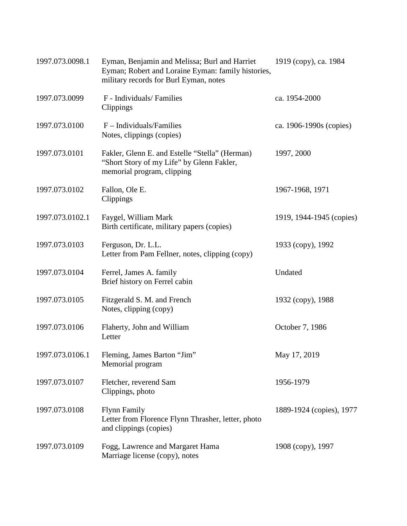| 1997.073.0098.1 | Eyman, Benjamin and Melissa; Burl and Harriet<br>Eyman; Robert and Loraine Eyman: family histories,<br>military records for Burl Eyman, notes | 1919 (copy), ca. 1984    |
|-----------------|-----------------------------------------------------------------------------------------------------------------------------------------------|--------------------------|
| 1997.073.0099   | F - Individuals/ Families<br>Clippings                                                                                                        | ca. 1954-2000            |
| 1997.073.0100   | $F$ – Individuals/Families<br>Notes, clippings (copies)                                                                                       | ca. 1906-1990s (copies)  |
| 1997.073.0101   | Fakler, Glenn E. and Estelle "Stella" (Herman)<br>"Short Story of my Life" by Glenn Fakler,<br>memorial program, clipping                     | 1997, 2000               |
| 1997.073.0102   | Fallon, Ole E.<br>Clippings                                                                                                                   | 1967-1968, 1971          |
| 1997.073.0102.1 | Faygel, William Mark<br>Birth certificate, military papers (copies)                                                                           | 1919, 1944-1945 (copies) |
| 1997.073.0103   | Ferguson, Dr. L.L.<br>Letter from Pam Fellner, notes, clipping (copy)                                                                         | 1933 (copy), 1992        |
| 1997.073.0104   | Ferrel, James A. family<br>Brief history on Ferrel cabin                                                                                      | Undated                  |
| 1997.073.0105   | Fitzgerald S. M. and French<br>Notes, clipping (copy)                                                                                         | 1932 (copy), 1988        |
| 1997.073.0106   | Flaherty, John and William<br>Letter                                                                                                          | October 7, 1986          |
| 1997.073.0106.1 | Fleming, James Barton "Jim"<br>Memorial program                                                                                               | May 17, 2019             |
| 1997.073.0107   | Fletcher, reverend Sam<br>Clippings, photo                                                                                                    | 1956-1979                |
| 1997.073.0108   | <b>Flynn Family</b><br>Letter from Florence Flynn Thrasher, letter, photo<br>and clippings (copies)                                           | 1889-1924 (copies), 1977 |
| 1997.073.0109   | Fogg, Lawrence and Margaret Hama<br>Marriage license (copy), notes                                                                            | 1908 (copy), 1997        |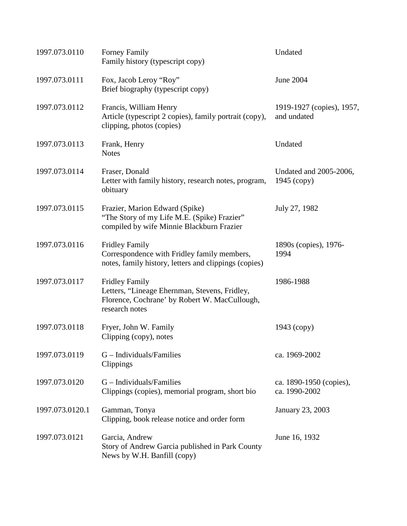| 1997.073.0110   | <b>Forney Family</b><br>Family history (typescript copy)                                                                                  | Undated                                  |
|-----------------|-------------------------------------------------------------------------------------------------------------------------------------------|------------------------------------------|
| 1997.073.0111   | Fox, Jacob Leroy "Roy"<br>Brief biography (typescript copy)                                                                               | <b>June 2004</b>                         |
| 1997.073.0112   | Francis, William Henry<br>Article (typescript 2 copies), family portrait (copy),<br>clipping, photos (copies)                             | 1919-1927 (copies), 1957,<br>and undated |
| 1997.073.0113   | Frank, Henry<br><b>Notes</b>                                                                                                              | Undated                                  |
| 1997.073.0114   | Fraser, Donald<br>Letter with family history, research notes, program,<br>obituary                                                        | Undated and 2005-2006,<br>$1945$ (copy)  |
| 1997.073.0115   | Frazier, Marion Edward (Spike)<br>"The Story of my Life M.E. (Spike) Frazier"<br>compiled by wife Minnie Blackburn Frazier                | July 27, 1982                            |
| 1997.073.0116   | <b>Fridley Family</b><br>Correspondence with Fridley family members,<br>notes, family history, letters and clippings (copies)             | 1890s (copies), 1976-<br>1994            |
| 1997.073.0117   | <b>Fridley Family</b><br>Letters, "Lineage Ehernman, Stevens, Fridley,<br>Florence, Cochrane' by Robert W. MacCullough,<br>research notes | 1986-1988                                |
| 1997.073.0118   | Fryer, John W. Family<br>Clipping (copy), notes                                                                                           | $1943$ (copy)                            |
| 1997.073.0119   | $G$ – Individuals/Families<br>Clippings                                                                                                   | ca. 1969-2002                            |
| 1997.073.0120   | G – Individuals/Families<br>Clippings (copies), memorial program, short bio                                                               | ca. 1890-1950 (copies),<br>ca. 1990-2002 |
| 1997.073.0120.1 | Gamman, Tonya<br>Clipping, book release notice and order form                                                                             | <b>January 23, 2003</b>                  |
| 1997.073.0121   | Garcia, Andrew<br>Story of Andrew Garcia published in Park County<br>News by W.H. Banfill (copy)                                          | June 16, 1932                            |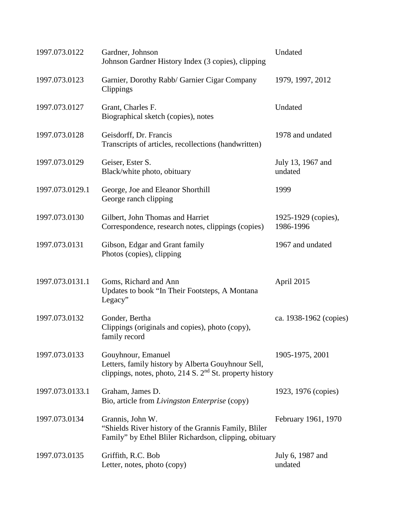| 1997.073.0122   | Gardner, Johnson<br>Johnson Gardner History Index (3 copies), clipping                                                                 | Undated                          |
|-----------------|----------------------------------------------------------------------------------------------------------------------------------------|----------------------------------|
| 1997.073.0123   | Garnier, Dorothy Rabb/ Garnier Cigar Company<br>Clippings                                                                              | 1979, 1997, 2012                 |
| 1997.073.0127   | Grant, Charles F.<br>Biographical sketch (copies), notes                                                                               | Undated                          |
| 1997.073.0128   | Geisdorff, Dr. Francis<br>Transcripts of articles, recollections (handwritten)                                                         | 1978 and undated                 |
| 1997.073.0129   | Geiser, Ester S.<br>Black/white photo, obituary                                                                                        | July 13, 1967 and<br>undated     |
| 1997.073.0129.1 | George, Joe and Eleanor Shorthill<br>George ranch clipping                                                                             | 1999                             |
| 1997.073.0130   | Gilbert, John Thomas and Harriet<br>Correspondence, research notes, clippings (copies)                                                 | 1925-1929 (copies),<br>1986-1996 |
| 1997.073.0131   | Gibson, Edgar and Grant family<br>Photos (copies), clipping                                                                            | 1967 and undated                 |
| 1997.073.0131.1 | Goms, Richard and Ann<br>Updates to book "In Their Footsteps, A Montana<br>Legacy"                                                     | April 2015                       |
| 1997.073.0132   | Gonder, Bertha<br>Clippings (originals and copies), photo (copy),<br>family record                                                     | ca. 1938-1962 (copies)           |
| 1997.073.0133   | Gouyhnour, Emanuel<br>Letters, family history by Alberta Gouyhnour Sell,<br>clippings, notes, photo, 214 S. $2nd$ St. property history | 1905-1975, 2001                  |
| 1997.073.0133.1 | Graham, James D.<br>Bio, article from Livingston Enterprise (copy)                                                                     | 1923, 1976 (copies)              |
| 1997.073.0134   | Grannis, John W.<br>"Shields River history of the Grannis Family, Bliler<br>Family" by Ethel Bliler Richardson, clipping, obituary     | February 1961, 1970              |
| 1997.073.0135   | Griffith, R.C. Bob<br>Letter, notes, photo (copy)                                                                                      | July 6, 1987 and<br>undated      |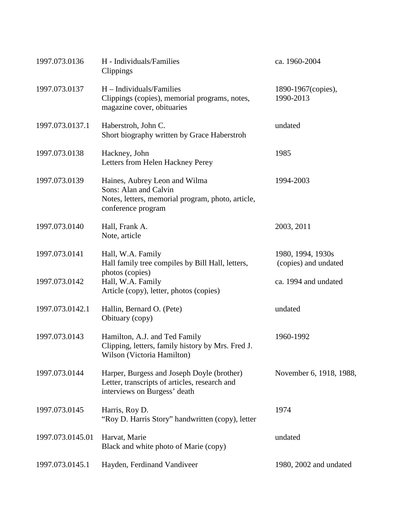| 1997.073.0136    | H - Individuals/Families<br>Clippings                                                                                             | ca. 1960-2004                             |
|------------------|-----------------------------------------------------------------------------------------------------------------------------------|-------------------------------------------|
| 1997.073.0137    | $H$ – Individuals/Families<br>Clippings (copies), memorial programs, notes,<br>magazine cover, obituaries                         | 1890-1967(copies),<br>1990-2013           |
| 1997.073.0137.1  | Haberstroh, John C.<br>Short biography written by Grace Haberstroh                                                                | undated                                   |
| 1997.073.0138    | Hackney, John<br>Letters from Helen Hackney Perey                                                                                 | 1985                                      |
| 1997.073.0139    | Haines, Aubrey Leon and Wilma<br>Sons: Alan and Calvin<br>Notes, letters, memorial program, photo, article,<br>conference program | 1994-2003                                 |
| 1997.073.0140    | Hall, Frank A.<br>Note, article                                                                                                   | 2003, 2011                                |
| 1997.073.0141    | Hall, W.A. Family<br>Hall family tree compiles by Bill Hall, letters,<br>photos (copies)                                          | 1980, 1994, 1930s<br>(copies) and undated |
| 1997.073.0142    | Hall, W.A. Family<br>Article (copy), letter, photos (copies)                                                                      | ca. 1994 and undated                      |
| 1997.073.0142.1  | Hallin, Bernard O. (Pete)<br>Obituary (copy)                                                                                      | undated                                   |
| 1997.073.0143    | Hamilton, A.J. and Ted Family<br>Clipping, letters, family history by Mrs. Fred J.<br>Wilson (Victoria Hamilton)                  | 1960-1992                                 |
| 1997.073.0144    | Harper, Burgess and Joseph Doyle (brother)<br>Letter, transcripts of articles, research and<br>interviews on Burgess' death       | November 6, 1918, 1988,                   |
| 1997.073.0145    | Harris, Roy D.<br>"Roy D. Harris Story" handwritten (copy), letter                                                                | 1974                                      |
| 1997.073.0145.01 | Harvat, Marie<br>Black and white photo of Marie (copy)                                                                            | undated                                   |
| 1997.073.0145.1  | Hayden, Ferdinand Vandiveer                                                                                                       | 1980, 2002 and undated                    |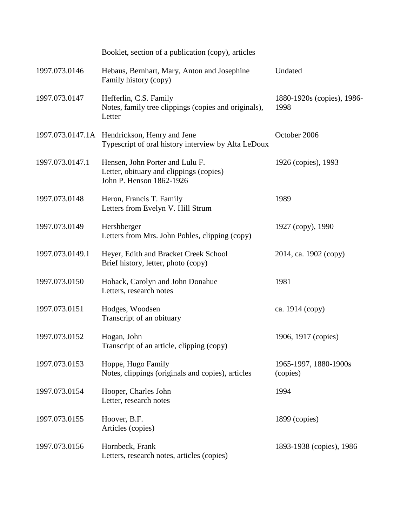|                 | Booklet, section of a publication (copy), articles                                                     |                                    |
|-----------------|--------------------------------------------------------------------------------------------------------|------------------------------------|
| 1997.073.0146   | Hebaus, Bernhart, Mary, Anton and Josephine<br>Family history (copy)                                   | Undated                            |
| 1997.073.0147   | Hefferlin, C.S. Family<br>Notes, family tree clippings (copies and originals),<br>Letter               | 1880-1920s (copies), 1986-<br>1998 |
|                 | 1997.073.0147.1A Hendrickson, Henry and Jene<br>Typescript of oral history interview by Alta LeDoux    | October 2006                       |
| 1997.073.0147.1 | Hensen, John Porter and Lulu F.<br>Letter, obituary and clippings (copies)<br>John P. Henson 1862-1926 | 1926 (copies), 1993                |
| 1997.073.0148   | Heron, Francis T. Family<br>Letters from Evelyn V. Hill Strum                                          | 1989                               |
| 1997.073.0149   | Hershberger<br>Letters from Mrs. John Pohles, clipping (copy)                                          | 1927 (copy), 1990                  |
| 1997.073.0149.1 | Heyer, Edith and Bracket Creek School<br>Brief history, letter, photo (copy)                           | 2014, ca. 1902 (copy)              |
| 1997.073.0150   | Hoback, Carolyn and John Donahue<br>Letters, research notes                                            | 1981                               |
| 1997.073.0151   | Hodges, Woodsen<br>Transcript of an obituary                                                           | ca. 1914 (copy)                    |
| 1997.073.0152   | Hogan, John<br>Transcript of an article, clipping (copy)                                               | 1906, 1917 (copies)                |
| 1997.073.0153   | Hoppe, Hugo Family<br>Notes, clippings (originals and copies), articles                                | 1965-1997, 1880-1900s<br>(copies)  |
| 1997.073.0154   | Hooper, Charles John<br>Letter, research notes                                                         | 1994                               |
| 1997.073.0155   | Hoover, B.F.<br>Articles (copies)                                                                      | 1899 (copies)                      |
| 1997.073.0156   | Hornbeck, Frank<br>Letters, research notes, articles (copies)                                          | 1893-1938 (copies), 1986           |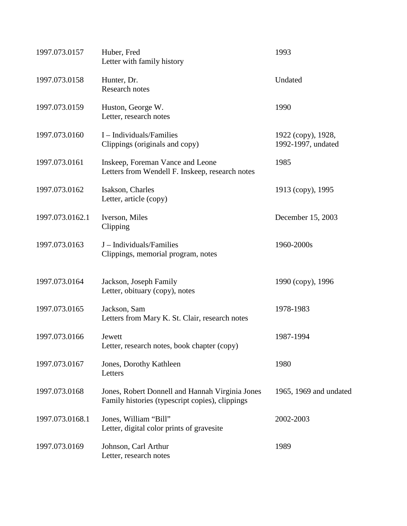| 1997.073.0157   | Huber, Fred<br>Letter with family history                                                          | 1993                                     |
|-----------------|----------------------------------------------------------------------------------------------------|------------------------------------------|
| 1997.073.0158   | Hunter, Dr.<br><b>Research notes</b>                                                               | Undated                                  |
| 1997.073.0159   | Huston, George W.<br>Letter, research notes                                                        | 1990                                     |
| 1997.073.0160   | I - Individuals/Families<br>Clippings (originals and copy)                                         | 1922 (copy), 1928,<br>1992-1997, undated |
| 1997.073.0161   | Inskeep, Foreman Vance and Leone<br>Letters from Wendell F. Inskeep, research notes                | 1985                                     |
| 1997.073.0162   | Isakson, Charles<br>Letter, article (copy)                                                         | 1913 (copy), 1995                        |
| 1997.073.0162.1 | Iverson, Miles<br>Clipping                                                                         | December 15, 2003                        |
| 1997.073.0163   | J - Individuals/Families<br>Clippings, memorial program, notes                                     | 1960-2000s                               |
| 1997.073.0164   | Jackson, Joseph Family<br>Letter, obituary (copy), notes                                           | 1990 (copy), 1996                        |
| 1997.073.0165   | Jackson, Sam<br>Letters from Mary K. St. Clair, research notes                                     | 1978-1983                                |
| 1997.073.0166   | Jewett<br>Letter, research notes, book chapter (copy)                                              | 1987-1994                                |
| 1997.073.0167   | Jones, Dorothy Kathleen<br>Letters                                                                 | 1980                                     |
| 1997.073.0168   | Jones, Robert Donnell and Hannah Virginia Jones<br>Family histories (typescript copies), clippings | 1965, 1969 and undated                   |
| 1997.073.0168.1 | Jones, William "Bill"<br>Letter, digital color prints of gravesite                                 | 2002-2003                                |
| 1997.073.0169   | Johnson, Carl Arthur<br>Letter, research notes                                                     | 1989                                     |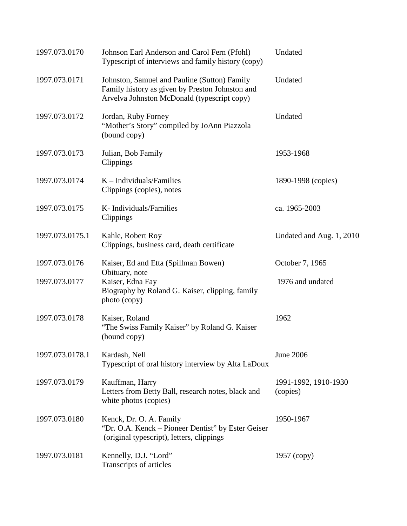| 1997.073.0170   | Johnson Earl Anderson and Carol Fern (Pfohl)<br>Typescript of interviews and family history (copy)                                             | Undated                          |
|-----------------|------------------------------------------------------------------------------------------------------------------------------------------------|----------------------------------|
| 1997.073.0171   | Johnston, Samuel and Pauline (Sutton) Family<br>Family history as given by Preston Johnston and<br>Arvelva Johnston McDonald (typescript copy) | Undated                          |
| 1997.073.0172   | Jordan, Ruby Forney<br>"Mother's Story" compiled by JoAnn Piazzola<br>(bound copy)                                                             | Undated                          |
| 1997.073.0173   | Julian, Bob Family<br>Clippings                                                                                                                | 1953-1968                        |
| 1997.073.0174   | $K$ – Individuals/Families<br>Clippings (copies), notes                                                                                        | 1890-1998 (copies)               |
| 1997.073.0175   | K-Individuals/Families<br>Clippings                                                                                                            | ca. 1965-2003                    |
| 1997.073.0175.1 | Kahle, Robert Roy<br>Clippings, business card, death certificate                                                                               | Undated and Aug. 1, 2010         |
| 1997.073.0176   | Kaiser, Ed and Etta (Spillman Bowen)                                                                                                           | October 7, 1965                  |
| 1997.073.0177   | Obituary, note<br>Kaiser, Edna Fay<br>Biography by Roland G. Kaiser, clipping, family<br>photo (copy)                                          | 1976 and undated                 |
| 1997.073.0178   | Kaiser, Roland<br>"The Swiss Family Kaiser" by Roland G. Kaiser<br>(bound copy)                                                                | 1962                             |
| 1997.073.0178.1 | Kardash, Nell<br>Typescript of oral history interview by Alta LaDoux                                                                           | <b>June 2006</b>                 |
| 1997.073.0179   | Kauffman, Harry<br>Letters from Betty Ball, research notes, black and<br>white photos (copies)                                                 | 1991-1992, 1910-1930<br>(copies) |
| 1997.073.0180   | Kenck, Dr. O. A. Family<br>"Dr. O.A. Kenck – Pioneer Dentist" by Ester Geiser<br>(original typescript), letters, clippings                     | 1950-1967                        |
| 1997.073.0181   | Kennelly, D.J. "Lord"<br>Transcripts of articles                                                                                               | $1957$ (copy)                    |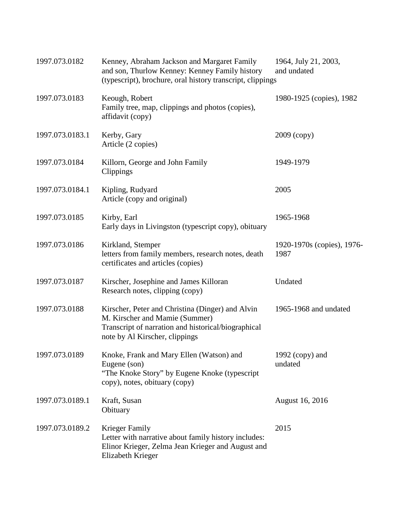| 1997.073.0182   | Kenney, Abraham Jackson and Margaret Family<br>and son, Thurlow Kenney: Kenney Family history<br>(typescript), brochure, oral history transcript, clippings                 | 1964, July 21, 2003,<br>and undated |
|-----------------|-----------------------------------------------------------------------------------------------------------------------------------------------------------------------------|-------------------------------------|
| 1997.073.0183   | Keough, Robert<br>Family tree, map, clippings and photos (copies),<br>affidavit (copy)                                                                                      | 1980-1925 (copies), 1982            |
| 1997.073.0183.1 | Kerby, Gary<br>Article (2 copies)                                                                                                                                           | $2009$ (copy)                       |
| 1997.073.0184   | Killorn, George and John Family<br>Clippings                                                                                                                                | 1949-1979                           |
| 1997.073.0184.1 | Kipling, Rudyard<br>Article (copy and original)                                                                                                                             | 2005                                |
| 1997.073.0185   | Kirby, Earl<br>Early days in Livingston (typescript copy), obituary                                                                                                         | 1965-1968                           |
| 1997.073.0186   | Kirkland, Stemper<br>letters from family members, research notes, death<br>certificates and articles (copies)                                                               | 1920-1970s (copies), 1976-<br>1987  |
| 1997.073.0187   | Kirscher, Josephine and James Killoran<br>Research notes, clipping (copy)                                                                                                   | Undated                             |
| 1997.073.0188   | Kirscher, Peter and Christina (Dinger) and Alvin<br>M. Kirscher and Mamie (Summer)<br>Transcript of narration and historical/biographical<br>note by Al Kirscher, clippings | 1965-1968 and undated               |
| 1997.073.0189   | Knoke, Frank and Mary Ellen (Watson) and<br>Eugene (son)<br>"The Knoke Story" by Eugene Knoke (typescript)<br>copy), notes, obituary (copy)                                 | 1992 (copy) and<br>undated          |
| 1997.073.0189.1 | Kraft, Susan<br>Obituary                                                                                                                                                    | <b>August 16, 2016</b>              |
| 1997.073.0189.2 | Krieger Family<br>Letter with narrative about family history includes:<br>Elinor Krieger, Zelma Jean Krieger and August and<br>Elizabeth Krieger                            | 2015                                |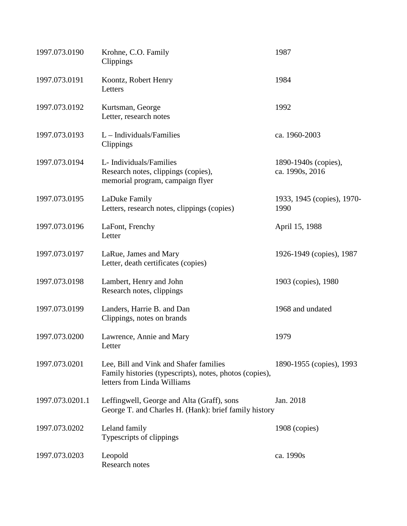| 1997.073.0190   | Krohne, C.O. Family<br>Clippings                                                                                                 | 1987                                    |
|-----------------|----------------------------------------------------------------------------------------------------------------------------------|-----------------------------------------|
| 1997.073.0191   | Koontz, Robert Henry<br>Letters                                                                                                  | 1984                                    |
| 1997.073.0192   | Kurtsman, George<br>Letter, research notes                                                                                       | 1992                                    |
| 1997.073.0193   | $L$ – Individuals/Families<br>Clippings                                                                                          | ca. 1960-2003                           |
| 1997.073.0194   | L- Individuals/Families<br>Research notes, clippings (copies),<br>memorial program, campaign flyer                               | 1890-1940s (copies),<br>ca. 1990s, 2016 |
| 1997.073.0195   | LaDuke Family<br>Letters, research notes, clippings (copies)                                                                     | 1933, 1945 (copies), 1970-<br>1990      |
| 1997.073.0196   | LaFont, Frenchy<br>Letter                                                                                                        | April 15, 1988                          |
| 1997.073.0197   | LaRue, James and Mary<br>Letter, death certificates (copies)                                                                     | 1926-1949 (copies), 1987                |
| 1997.073.0198   | Lambert, Henry and John<br>Research notes, clippings                                                                             | 1903 (copies), 1980                     |
| 1997.073.0199   | Landers, Harrie B. and Dan<br>Clippings, notes on brands                                                                         | 1968 and undated                        |
| 1997.073.0200   | Lawrence, Annie and Mary<br>Letter                                                                                               | 1979                                    |
| 1997.073.0201   | Lee, Bill and Vink and Shafer families<br>Family histories (typescripts), notes, photos (copies),<br>letters from Linda Williams | 1890-1955 (copies), 1993                |
| 1997.073.0201.1 | Leffingwell, George and Alta (Graff), sons<br>George T. and Charles H. (Hank): brief family history                              | Jan. 2018                               |
| 1997.073.0202   | Leland family<br>Typescripts of clippings                                                                                        | 1908 (copies)                           |
| 1997.073.0203   | Leopold<br>Research notes                                                                                                        | ca. 1990s                               |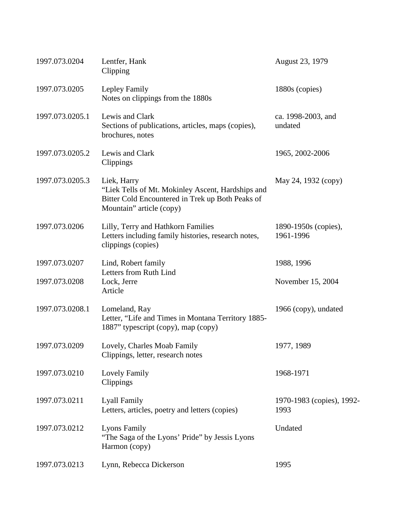| 1997.073.0204   | Lentfer, Hank<br>Clipping                                                                                                                        | August 23, 1979                   |
|-----------------|--------------------------------------------------------------------------------------------------------------------------------------------------|-----------------------------------|
| 1997.073.0205   | Lepley Family<br>Notes on clippings from the 1880s                                                                                               | 1880s (copies)                    |
| 1997.073.0205.1 | Lewis and Clark<br>Sections of publications, articles, maps (copies),<br>brochures, notes                                                        | ca. 1998-2003, and<br>undated     |
| 1997.073.0205.2 | Lewis and Clark<br>Clippings                                                                                                                     | 1965, 2002-2006                   |
| 1997.073.0205.3 | Liek, Harry<br>"Liek Tells of Mt. Mokinley Ascent, Hardships and<br>Bitter Cold Encountered in Trek up Both Peaks of<br>Mountain" article (copy) | May 24, 1932 (copy)               |
| 1997.073.0206   | Lilly, Terry and Hathkorn Families<br>Letters including family histories, research notes,<br>clippings (copies)                                  | 1890-1950s (copies),<br>1961-1996 |
| 1997.073.0207   | Lind, Robert family<br>Letters from Ruth Lind                                                                                                    | 1988, 1996                        |
| 1997.073.0208   | Lock, Jerre<br>Article                                                                                                                           | November 15, 2004                 |
| 1997.073.0208.1 | Lomeland, Ray<br>Letter, "Life and Times in Montana Territory 1885-<br>1887" typescript (copy), map (copy)                                       | 1966 (copy), undated              |
| 1997.073.0209   | Lovely, Charles Moab Family<br>Clippings, letter, research notes                                                                                 | 1977, 1989                        |
| 1997.073.0210   | Lovely Family<br>Clippings                                                                                                                       | 1968-1971                         |
| 1997.073.0211   | <b>Lyall Family</b><br>Letters, articles, poetry and letters (copies)                                                                            | 1970-1983 (copies), 1992-<br>1993 |
| 1997.073.0212   | <b>Lyons Family</b><br>"The Saga of the Lyons' Pride" by Jessis Lyons<br>Harmon (copy)                                                           | Undated                           |
| 1997.073.0213   | Lynn, Rebecca Dickerson                                                                                                                          | 1995                              |
|                 |                                                                                                                                                  |                                   |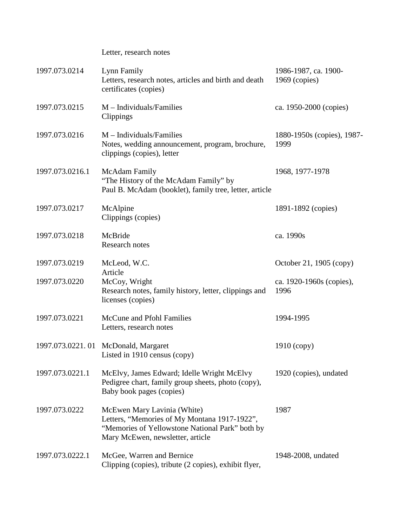| 1997.073.0214   | Lynn Family<br>Letters, research notes, articles and birth and death<br>certificates (copies)                                                                      | 1986-1987, ca. 1900-<br>$1969$ (copies) |
|-----------------|--------------------------------------------------------------------------------------------------------------------------------------------------------------------|-----------------------------------------|
| 1997.073.0215   | $M$ – Individuals/Families<br>Clippings                                                                                                                            | ca. 1950-2000 (copies)                  |
| 1997.073.0216   | $M$ – Individuals/Families<br>Notes, wedding announcement, program, brochure,<br>clippings (copies), letter                                                        | 1880-1950s (copies), 1987-<br>1999      |
| 1997.073.0216.1 | McAdam Family<br>"The History of the McAdam Family" by<br>Paul B. McAdam (booklet), family tree, letter, article                                                   | 1968, 1977-1978                         |
| 1997.073.0217   | McAlpine<br>Clippings (copies)                                                                                                                                     | 1891-1892 (copies)                      |
| 1997.073.0218   | McBride<br>Research notes                                                                                                                                          | ca. 1990s                               |
| 1997.073.0219   | McLeod, W.C.                                                                                                                                                       | October 21, 1905 (copy)                 |
| 1997.073.0220   | Article<br>McCoy, Wright<br>Research notes, family history, letter, clippings and<br>licenses (copies)                                                             | ca. 1920-1960s (copies),<br>1996        |
| 1997.073.0221   | McCune and Pfohl Families<br>Letters, research notes                                                                                                               | 1994-1995                               |
|                 | 1997.073.0221.01 McDonald, Margaret<br>Listed in 1910 census (copy)                                                                                                | $1910$ (copy)                           |
| 1997.073.0221.1 | McElvy, James Edward; Idelle Wright McElvy<br>Pedigree chart, family group sheets, photo (copy),<br>Baby book pages (copies)                                       | 1920 (copies), undated                  |
| 1997.073.0222   | McEwen Mary Lavinia (White)<br>Letters, "Memories of My Montana 1917-1922",<br>"Memories of Yellowstone National Park" both by<br>Mary McEwen, newsletter, article | 1987                                    |
| 1997.073.0222.1 | McGee, Warren and Bernice<br>Clipping (copies), tribute (2 copies), exhibit flyer,                                                                                 | 1948-2008, undated                      |

Letter, research notes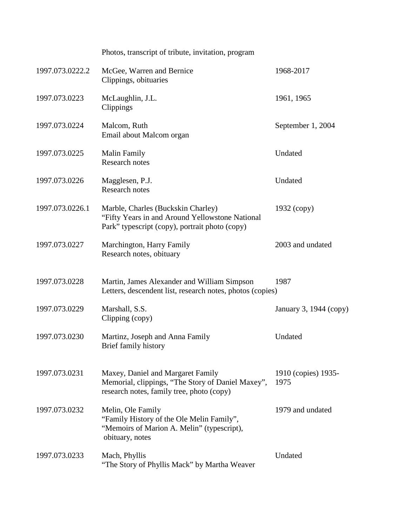| 1997.073.0222.2<br>McGee, Warren and Bernice<br>1968-2017<br>Clippings, obituaries<br>1997.073.0223<br>McLaughlin, J.L.<br>1961, 1965<br>Clippings<br>1997.073.0224<br>Malcom, Ruth<br>September 1, 2004<br>Email about Malcom organ<br>1997.073.0225<br>Undated<br><b>Malin Family</b><br>Research notes<br>1997.073.0226<br>Undated<br>Magglesen, P.J.<br><b>Research notes</b><br>1997.073.0226.1<br>Marble, Charles (Buckskin Charley)<br>$1932$ (copy)<br>"Fifty Years in and Around Yellowstone National<br>Park" typescript (copy), portrait photo (copy)<br>1997.073.0227<br>Marchington, Harry Family<br>2003 and undated<br>Research notes, obituary<br>1997.073.0228<br>Martin, James Alexander and William Simpson<br>1987<br>Letters, descendent list, research notes, photos (copies)<br>1997.073.0229<br>Marshall, S.S.<br>Clipping (copy)<br>1997.073.0230<br>Undated<br>Martinz, Joseph and Anna Family<br>Brief family history<br>1997.073.0231<br>Maxey, Daniel and Margaret Family<br>Memorial, clippings, "The Story of Daniel Maxey",<br>1975<br>research notes, family tree, photo (copy)<br>1997.073.0232<br>Melin, Ole Family<br>1979 and undated<br>"Family History of the Ole Melin Family",<br>"Memoirs of Marion A. Melin" (typescript),<br>obituary, notes<br>Undated<br>1997.073.0233<br>Mach, Phyllis<br>"The Story of Phyllis Mack" by Martha Weaver | Photos, transcript of tribute, invitation, program |                        |
|---------------------------------------------------------------------------------------------------------------------------------------------------------------------------------------------------------------------------------------------------------------------------------------------------------------------------------------------------------------------------------------------------------------------------------------------------------------------------------------------------------------------------------------------------------------------------------------------------------------------------------------------------------------------------------------------------------------------------------------------------------------------------------------------------------------------------------------------------------------------------------------------------------------------------------------------------------------------------------------------------------------------------------------------------------------------------------------------------------------------------------------------------------------------------------------------------------------------------------------------------------------------------------------------------------------------------------------------------------------------------------------|----------------------------------------------------|------------------------|
|                                                                                                                                                                                                                                                                                                                                                                                                                                                                                                                                                                                                                                                                                                                                                                                                                                                                                                                                                                                                                                                                                                                                                                                                                                                                                                                                                                                       |                                                    |                        |
|                                                                                                                                                                                                                                                                                                                                                                                                                                                                                                                                                                                                                                                                                                                                                                                                                                                                                                                                                                                                                                                                                                                                                                                                                                                                                                                                                                                       |                                                    |                        |
|                                                                                                                                                                                                                                                                                                                                                                                                                                                                                                                                                                                                                                                                                                                                                                                                                                                                                                                                                                                                                                                                                                                                                                                                                                                                                                                                                                                       |                                                    |                        |
|                                                                                                                                                                                                                                                                                                                                                                                                                                                                                                                                                                                                                                                                                                                                                                                                                                                                                                                                                                                                                                                                                                                                                                                                                                                                                                                                                                                       |                                                    |                        |
|                                                                                                                                                                                                                                                                                                                                                                                                                                                                                                                                                                                                                                                                                                                                                                                                                                                                                                                                                                                                                                                                                                                                                                                                                                                                                                                                                                                       |                                                    |                        |
|                                                                                                                                                                                                                                                                                                                                                                                                                                                                                                                                                                                                                                                                                                                                                                                                                                                                                                                                                                                                                                                                                                                                                                                                                                                                                                                                                                                       |                                                    |                        |
|                                                                                                                                                                                                                                                                                                                                                                                                                                                                                                                                                                                                                                                                                                                                                                                                                                                                                                                                                                                                                                                                                                                                                                                                                                                                                                                                                                                       |                                                    |                        |
|                                                                                                                                                                                                                                                                                                                                                                                                                                                                                                                                                                                                                                                                                                                                                                                                                                                                                                                                                                                                                                                                                                                                                                                                                                                                                                                                                                                       |                                                    |                        |
|                                                                                                                                                                                                                                                                                                                                                                                                                                                                                                                                                                                                                                                                                                                                                                                                                                                                                                                                                                                                                                                                                                                                                                                                                                                                                                                                                                                       |                                                    | January 3, 1944 (copy) |
|                                                                                                                                                                                                                                                                                                                                                                                                                                                                                                                                                                                                                                                                                                                                                                                                                                                                                                                                                                                                                                                                                                                                                                                                                                                                                                                                                                                       |                                                    |                        |
|                                                                                                                                                                                                                                                                                                                                                                                                                                                                                                                                                                                                                                                                                                                                                                                                                                                                                                                                                                                                                                                                                                                                                                                                                                                                                                                                                                                       |                                                    | 1910 (copies) 1935-    |
|                                                                                                                                                                                                                                                                                                                                                                                                                                                                                                                                                                                                                                                                                                                                                                                                                                                                                                                                                                                                                                                                                                                                                                                                                                                                                                                                                                                       |                                                    |                        |
|                                                                                                                                                                                                                                                                                                                                                                                                                                                                                                                                                                                                                                                                                                                                                                                                                                                                                                                                                                                                                                                                                                                                                                                                                                                                                                                                                                                       |                                                    |                        |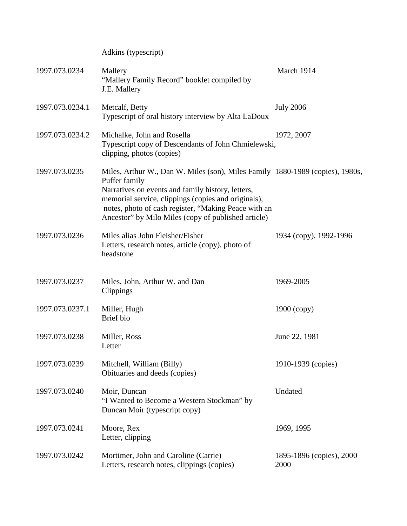Adkins (typescript)

| 1997.073.0234   | Mallery<br>"Mallery Family Record" booklet compiled by<br>J.E. Mallery                                                                                                                                                                                                                                                    | March 1914                       |
|-----------------|---------------------------------------------------------------------------------------------------------------------------------------------------------------------------------------------------------------------------------------------------------------------------------------------------------------------------|----------------------------------|
| 1997.073.0234.1 | Metcalf, Betty<br>Typescript of oral history interview by Alta LaDoux                                                                                                                                                                                                                                                     | <b>July 2006</b>                 |
| 1997.073.0234.2 | Michalke, John and Rosella<br>Typescript copy of Descendants of John Chmielewski,<br>clipping, photos (copies)                                                                                                                                                                                                            | 1972, 2007                       |
| 1997.073.0235   | Miles, Arthur W., Dan W. Miles (son), Miles Family 1880-1989 (copies), 1980s,<br>Puffer family<br>Narratives on events and family history, letters,<br>memorial service, clippings (copies and originals),<br>notes, photo of cash register, "Making Peace with an<br>Ancestor" by Milo Miles (copy of published article) |                                  |
| 1997.073.0236   | Miles alias John Fleisher/Fisher<br>Letters, research notes, article (copy), photo of<br>headstone                                                                                                                                                                                                                        | 1934 (copy), 1992-1996           |
| 1997.073.0237   | Miles, John, Arthur W. and Dan<br>Clippings                                                                                                                                                                                                                                                                               | 1969-2005                        |
| 1997.073.0237.1 | Miller, Hugh<br>Brief bio                                                                                                                                                                                                                                                                                                 | $1900$ (copy)                    |
| 1997.073.0238   | Miller, Ross<br>Letter                                                                                                                                                                                                                                                                                                    | June 22, 1981                    |
| 1997.073.0239   | Mitchell, William (Billy)<br>Obituaries and deeds (copies)                                                                                                                                                                                                                                                                | 1910-1939 (copies)               |
| 1997.073.0240   | Moir, Duncan<br>"I Wanted to Become a Western Stockman" by<br>Duncan Moir (typescript copy)                                                                                                                                                                                                                               | Undated                          |
| 1997.073.0241   | Moore, Rex<br>Letter, clipping                                                                                                                                                                                                                                                                                            | 1969, 1995                       |
| 1997.073.0242   | Mortimer, John and Caroline (Carrie)<br>Letters, research notes, clippings (copies)                                                                                                                                                                                                                                       | 1895-1896 (copies), 2000<br>2000 |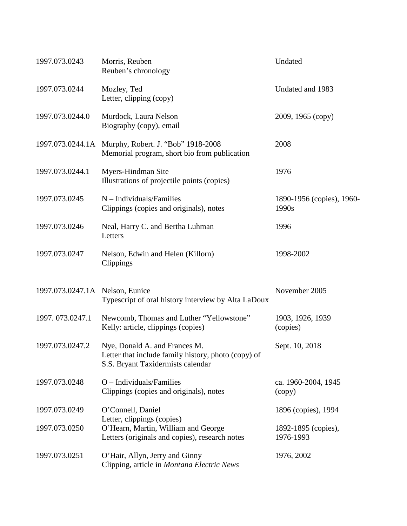| 1997.073.0243                   | Morris, Reuben<br>Reuben's chronology                                                                                     | Undated                            |
|---------------------------------|---------------------------------------------------------------------------------------------------------------------------|------------------------------------|
| 1997.073.0244                   | Mozley, Ted<br>Letter, clipping (copy)                                                                                    | Undated and 1983                   |
| 1997.073.0244.0                 | Murdock, Laura Nelson<br>Biography (copy), email                                                                          | 2009, 1965 (сору)                  |
|                                 | 1997.073.0244.1A Murphy, Robert. J. "Bob" 1918-2008<br>Memorial program, short bio from publication                       | 2008                               |
| 1997.073.0244.1                 | Myers-Hindman Site<br>Illustrations of projectile points (copies)                                                         | 1976                               |
| 1997.073.0245                   | $N$ – Individuals/Families<br>Clippings (copies and originals), notes                                                     | 1890-1956 (copies), 1960-<br>1990s |
| 1997.073.0246                   | Neal, Harry C. and Bertha Luhman<br>Letters                                                                               | 1996                               |
| 1997.073.0247                   | Nelson, Edwin and Helen (Killorn)<br>Clippings                                                                            | 1998-2002                          |
| 1997.073.0247.1A Nelson, Eunice | Typescript of oral history interview by Alta LaDoux                                                                       | November 2005                      |
| 1997.073.0247.1                 | Newcomb, Thomas and Luther "Yellowstone"<br>Kelly: article, clippings (copies)                                            | 1903, 1926, 1939<br>(copies)       |
| 1997.073.0247.2                 | Nye, Donald A. and Frances M.<br>Letter that include family history, photo (copy) of<br>S.S. Bryant Taxidermists calendar | Sept. 10, 2018                     |
| 1997.073.0248                   | $O$ – Individuals/Families<br>Clippings (copies and originals), notes                                                     | ca. 1960-2004, 1945<br>(copy)      |
| 1997.073.0249                   | O'Connell, Daniel                                                                                                         | 1896 (copies), 1994                |
| 1997.073.0250                   | Letter, clippings (copies)<br>O'Hearn, Martin, William and George<br>Letters (originals and copies), research notes       | 1892-1895 (copies),<br>1976-1993   |
| 1997.073.0251                   | O'Hair, Allyn, Jerry and Ginny<br>Clipping, article in Montana Electric News                                              | 1976, 2002                         |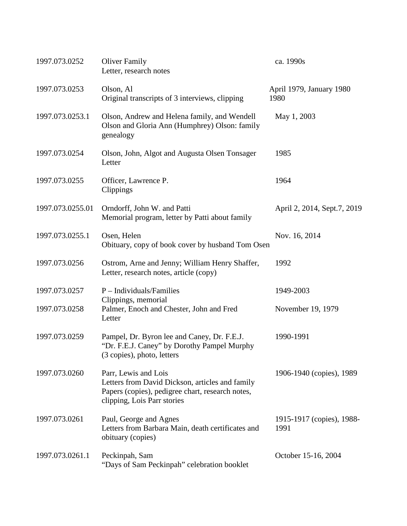| 1997.073.0252    | <b>Oliver Family</b><br>Letter, research notes                                                                                                             | ca. 1990s                         |
|------------------|------------------------------------------------------------------------------------------------------------------------------------------------------------|-----------------------------------|
| 1997.073.0253    | Olson, Al<br>Original transcripts of 3 interviews, clipping                                                                                                | April 1979, January 1980<br>1980  |
| 1997.073.0253.1  | Olson, Andrew and Helena family, and Wendell<br>Olson and Gloria Ann (Humphrey) Olson: family<br>genealogy                                                 | May 1, 2003                       |
| 1997.073.0254    | Olson, John, Algot and Augusta Olsen Tonsager<br>Letter                                                                                                    | 1985                              |
| 1997.073.0255    | Officer, Lawrence P.<br>Clippings                                                                                                                          | 1964                              |
| 1997.073.0255.01 | Orndorff, John W. and Patti<br>Memorial program, letter by Patti about family                                                                              | April 2, 2014, Sept.7, 2019       |
| 1997.073.0255.1  | Osen, Helen<br>Obituary, copy of book cover by husband Tom Osen                                                                                            | Nov. 16, 2014                     |
| 1997.073.0256    | Ostrom, Arne and Jenny; William Henry Shaffer,<br>Letter, research notes, article (copy)                                                                   | 1992                              |
| 1997.073.0257    | $P$ – Individuals/Families<br>Clippings, memorial                                                                                                          | 1949-2003                         |
| 1997.073.0258    | Palmer, Enoch and Chester, John and Fred<br>Letter                                                                                                         | November 19, 1979                 |
| 1997.073.0259    | Pampel, Dr. Byron lee and Caney, Dr. F.E.J.<br>"Dr. F.E.J. Caney" by Dorothy Pampel Murphy<br>(3 copies), photo, letters                                   | 1990-1991                         |
| 1997.073.0260    | Parr, Lewis and Lois<br>Letters from David Dickson, articles and family<br>Papers (copies), pedigree chart, research notes,<br>clipping, Lois Parr stories | 1906-1940 (copies), 1989          |
| 1997.073.0261    | Paul, George and Agnes<br>Letters from Barbara Main, death certificates and<br>obituary (copies)                                                           | 1915-1917 (copies), 1988-<br>1991 |
| 1997.073.0261.1  | Peckinpah, Sam<br>"Days of Sam Peckinpah" celebration booklet                                                                                              | October 15-16, 2004               |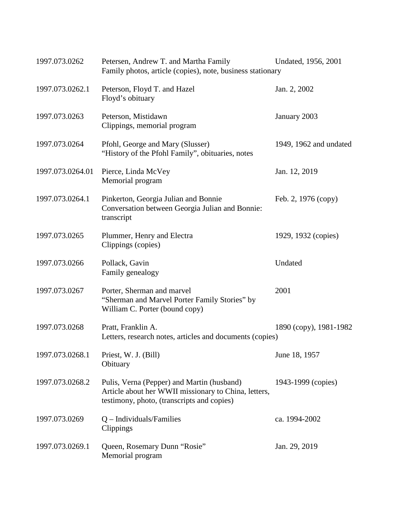| 1997.073.0262    | Petersen, Andrew T. and Martha Family<br>Family photos, article (copies), note, business stationary                                              | Undated, 1956, 2001    |
|------------------|--------------------------------------------------------------------------------------------------------------------------------------------------|------------------------|
| 1997.073.0262.1  | Peterson, Floyd T. and Hazel<br>Floyd's obituary                                                                                                 | Jan. 2, 2002           |
| 1997.073.0263    | Peterson, Mistidawn<br>Clippings, memorial program                                                                                               | January 2003           |
| 1997.073.0264    | Pfohl, George and Mary (Slusser)<br>"History of the Pfohl Family", obituaries, notes                                                             | 1949, 1962 and undated |
| 1997.073.0264.01 | Pierce, Linda McVey<br>Memorial program                                                                                                          | Jan. 12, 2019          |
| 1997.073.0264.1  | Pinkerton, Georgia Julian and Bonnie<br>Conversation between Georgia Julian and Bonnie:<br>transcript                                            | Feb. 2, 1976 (copy)    |
| 1997.073.0265    | Plummer, Henry and Electra<br>Clippings (copies)                                                                                                 | 1929, 1932 (copies)    |
| 1997.073.0266    | Pollack, Gavin<br>Family genealogy                                                                                                               | Undated                |
| 1997.073.0267    | Porter, Sherman and marvel<br>"Sherman and Marvel Porter Family Stories" by<br>William C. Porter (bound copy)                                    | 2001                   |
| 1997.073.0268    | Pratt, Franklin A.<br>Letters, research notes, articles and documents (copies)                                                                   | 1890 (copy), 1981-1982 |
| 1997.073.0268.1  | Priest, W. J. (Bill)<br>Obituary                                                                                                                 | June 18, 1957          |
| 1997.073.0268.2  | Pulis, Verna (Pepper) and Martin (husband)<br>Article about her WWII missionary to China, letters,<br>testimony, photo, (transcripts and copies) | 1943-1999 (copies)     |
| 1997.073.0269    | $Q$ – Individuals/Families<br>Clippings                                                                                                          | ca. 1994-2002          |
| 1997.073.0269.1  | Queen, Rosemary Dunn "Rosie"<br>Memorial program                                                                                                 | Jan. 29, 2019          |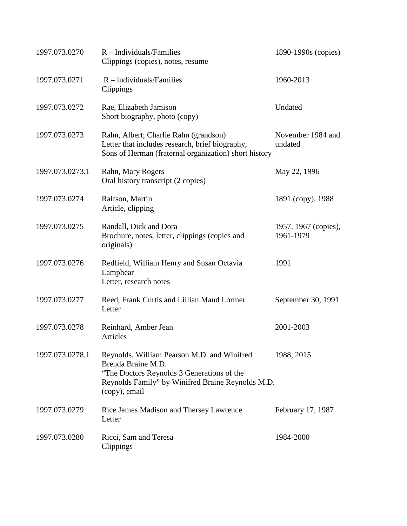| 1997.073.0270   | $R$ – Individuals/Families<br>Clippings (copies), notes, resume                                                                                                                       | 1890-1990s (copies)               |
|-----------------|---------------------------------------------------------------------------------------------------------------------------------------------------------------------------------------|-----------------------------------|
| 1997.073.0271   | $R$ – individuals/Families<br>Clippings                                                                                                                                               | 1960-2013                         |
| 1997.073.0272   | Rae, Elizabeth Jamison<br>Short biography, photo (copy)                                                                                                                               | Undated                           |
| 1997.073.0273   | Rahn, Albert; Charlie Rahn (grandson)<br>Letter that includes research, brief biography,<br>Sons of Herman (fraternal organization) short history                                     | November 1984 and<br>undated      |
| 1997.073.0273.1 | Rahn, Mary Rogers<br>Oral history transcript (2 copies)                                                                                                                               | May 22, 1996                      |
| 1997.073.0274   | Ralfson, Martin<br>Article, clipping                                                                                                                                                  | 1891 (copy), 1988                 |
| 1997.073.0275   | Randall, Dick and Dora<br>Brochure, notes, letter, clippings (copies and<br>originals)                                                                                                | 1957, 1967 (copies),<br>1961-1979 |
| 1997.073.0276   | Redfield, William Henry and Susan Octavia<br>Lamphear<br>Letter, research notes                                                                                                       | 1991                              |
| 1997.073.0277   | Reed, Frank Curtis and Lillian Maud Lormer<br>Letter                                                                                                                                  | September 30, 1991                |
| 1997.073.0278   | Reinhard, Amber Jean<br><b>Articles</b>                                                                                                                                               | 2001-2003                         |
| 1997.073.0278.1 | Reynolds, William Pearson M.D. and Winifred<br>Brenda Braine M.D.<br>"The Doctors Reynolds 3 Generations of the<br>Reynolds Family" by Winifred Braine Reynolds M.D.<br>(copy), email | 1988, 2015                        |
| 1997.073.0279   | Rice James Madison and Thersey Lawrence<br>Letter                                                                                                                                     | February 17, 1987                 |
| 1997.073.0280   | Ricci, Sam and Teresa<br>Clippings                                                                                                                                                    | 1984-2000                         |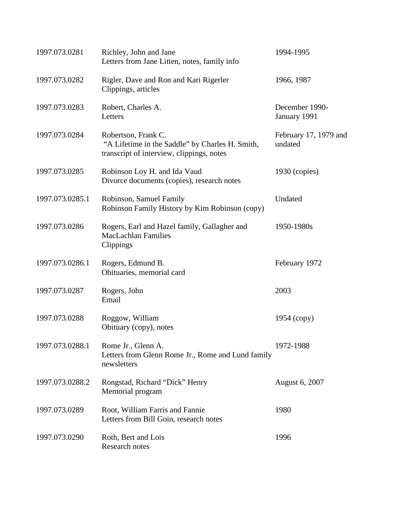| 1997.073.0281   | Richley, John and Jane<br>Letters from Jane Litten, notes, family info                                              | 1994-1995                        |
|-----------------|---------------------------------------------------------------------------------------------------------------------|----------------------------------|
| 1997.073.0282   | Rigler, Dave and Ron and Kari Rigerler<br>Clippings, articles                                                       | 1966, 1987                       |
| 1997.073.0283   | Robert, Charles A.<br>Letters                                                                                       | December 1990-<br>January 1991   |
| 1997.073.0284   | Robertson, Frank C.<br>"A Lifetime in the Saddle" by Charles H. Smith,<br>transcript of interview, clippings, notes | February 17, 1979 and<br>undated |
| 1997.073.0285   | Robinson Loy H. and Ida Vaud<br>Divorce documents (copies), research notes                                          | $1930$ (copies)                  |
| 1997.073.0285.1 | Robinson, Samuel Family<br>Robinson Family History by Kim Robinson (copy)                                           | Undated                          |
| 1997.073.0286   | Rogers, Earl and Hazel family, Gallagher and<br><b>MacLachlan Families</b><br>Clippings                             | 1950-1980s                       |
| 1997.073.0286.1 | Rogers, Edmund B.<br>Obituaries, memorial card                                                                      | February 1972                    |
| 1997.073.0287   | Rogers, John<br>Email                                                                                               | 2003                             |
| 1997.073.0288   | Roggow, William<br>Obituary (copy), notes                                                                           | 1954 (copy)                      |
| 1997.073.0288.1 | Rome Jr., Glenn A.<br>Letters from Glenn Rome Jr., Rome and Lund family<br>newsletters                              | 1972-1988                        |
| 1997.073.0288.2 | Rongstad, Richard "Dick" Henry<br>Memorial program                                                                  | August 6, 2007                   |
| 1997.073.0289   | Root, William Farris and Fannie<br>Letters from Bill Goin, research notes                                           | 1980                             |
| 1997.073.0290   | Roth, Bert and Lois<br>Research notes                                                                               | 1996                             |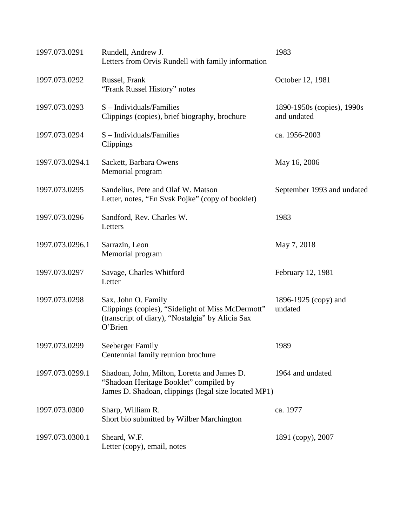| 1997.073.0291   | Rundell, Andrew J.<br>Letters from Orvis Rundell with family information                                                                      | 1983                                      |
|-----------------|-----------------------------------------------------------------------------------------------------------------------------------------------|-------------------------------------------|
| 1997.073.0292   | Russel, Frank<br>"Frank Russel History" notes                                                                                                 | October 12, 1981                          |
| 1997.073.0293   | S - Individuals/Families<br>Clippings (copies), brief biography, brochure                                                                     | 1890-1950s (copies), 1990s<br>and undated |
| 1997.073.0294   | $S$ – Individuals/Families<br>Clippings                                                                                                       | ca. 1956-2003                             |
| 1997.073.0294.1 | Sackett, Barbara Owens<br>Memorial program                                                                                                    | May 16, 2006                              |
| 1997.073.0295   | Sandelius, Pete and Olaf W. Matson<br>Letter, notes, "En Svsk Pojke" (copy of booklet)                                                        | September 1993 and undated                |
| 1997.073.0296   | Sandford, Rev. Charles W.<br>Letters                                                                                                          | 1983                                      |
| 1997.073.0296.1 | Sarrazin, Leon<br>Memorial program                                                                                                            | May 7, 2018                               |
| 1997.073.0297   | Savage, Charles Whitford<br>Letter                                                                                                            | February 12, 1981                         |
| 1997.073.0298   | Sax, John O. Family<br>Clippings (copies), "Sidelight of Miss McDermott"<br>(transcript of diary), "Nostalgia" by Alicia Sax<br>O'Brien       | 1896-1925 (copy) and<br>undated           |
| 1997.073.0299   | Seeberger Family<br>Centennial family reunion brochure                                                                                        | 1989                                      |
| 1997.073.0299.1 | Shadoan, John, Milton, Loretta and James D.<br>"Shadoan Heritage Booklet" compiled by<br>James D. Shadoan, clippings (legal size located MP1) | 1964 and undated                          |
| 1997.073.0300   | Sharp, William R.<br>Short bio submitted by Wilber Marchington                                                                                | ca. 1977                                  |
| 1997.073.0300.1 | Sheard, W.F.<br>Letter (copy), email, notes                                                                                                   | 1891 (copy), 2007                         |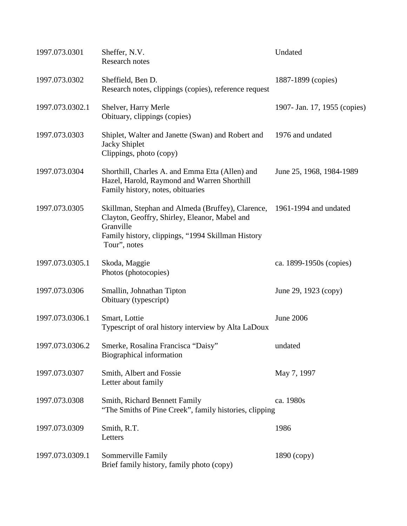| 1997.073.0301   | Sheffer, N.V.<br>Research notes                                                                                                                                                      | Undated                      |
|-----------------|--------------------------------------------------------------------------------------------------------------------------------------------------------------------------------------|------------------------------|
| 1997.073.0302   | Sheffield, Ben D.<br>Research notes, clippings (copies), reference request                                                                                                           | 1887-1899 (copies)           |
| 1997.073.0302.1 | Shelver, Harry Merle<br>Obituary, clippings (copies)                                                                                                                                 | 1907- Jan. 17, 1955 (copies) |
| 1997.073.0303   | Shiplet, Walter and Janette (Swan) and Robert and<br><b>Jacky Shiplet</b><br>Clippings, photo (copy)                                                                                 | 1976 and undated             |
| 1997.073.0304   | Shorthill, Charles A. and Emma Etta (Allen) and<br>Hazel, Harold, Raymond and Warren Shorthill<br>Family history, notes, obituaries                                                  | June 25, 1968, 1984-1989     |
| 1997.073.0305   | Skillman, Stephan and Almeda (Bruffey), Clarence,<br>Clayton, Geoffry, Shirley, Eleanor, Mabel and<br>Granville<br>Family history, clippings, "1994 Skillman History<br>Tour", notes | 1961-1994 and undated        |
| 1997.073.0305.1 | Skoda, Maggie<br>Photos (photocopies)                                                                                                                                                | ca. 1899-1950s (copies)      |
| 1997.073.0306   | Smallin, Johnathan Tipton<br>Obituary (typescript)                                                                                                                                   | June 29, 1923 (copy)         |
| 1997.073.0306.1 | Smart, Lottie<br>Typescript of oral history interview by Alta LaDoux                                                                                                                 | <b>June 2006</b>             |
| 1997.073.0306.2 | Smerke, Rosalina Francisca "Daisy"<br>Biographical information                                                                                                                       | undated                      |
| 1997.073.0307   | Smith, Albert and Fossie<br>Letter about family                                                                                                                                      | May 7, 1997                  |
| 1997.073.0308   | Smith, Richard Bennett Family<br>"The Smiths of Pine Creek", family histories, clipping                                                                                              | ca. 1980s                    |
| 1997.073.0309   | Smith, R.T.<br>Letters                                                                                                                                                               | 1986                         |
| 1997.073.0309.1 | Sommerville Family<br>Brief family history, family photo (copy)                                                                                                                      | 1890 (copy)                  |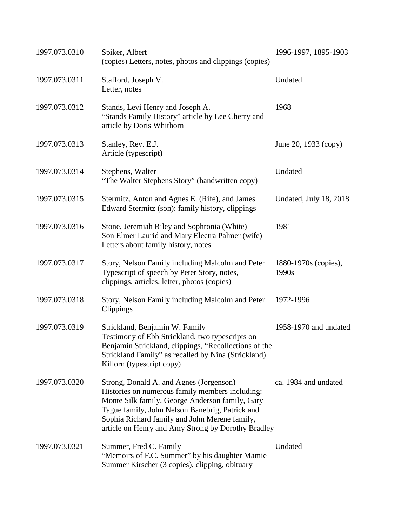| 1997.073.0310 | Spiker, Albert<br>(copies) Letters, notes, photos and clippings (copies)                                                                                                                                                                                                                                | 1996-1997, 1895-1903          |
|---------------|---------------------------------------------------------------------------------------------------------------------------------------------------------------------------------------------------------------------------------------------------------------------------------------------------------|-------------------------------|
| 1997.073.0311 | Stafford, Joseph V.<br>Letter, notes                                                                                                                                                                                                                                                                    | Undated                       |
| 1997.073.0312 | Stands, Levi Henry and Joseph A.<br>"Stands Family History" article by Lee Cherry and<br>article by Doris Whithorn                                                                                                                                                                                      | 1968                          |
| 1997.073.0313 | Stanley, Rev. E.J.<br>Article (typescript)                                                                                                                                                                                                                                                              | June 20, 1933 (copy)          |
| 1997.073.0314 | Stephens, Walter<br>"The Walter Stephens Story" (handwritten copy)                                                                                                                                                                                                                                      | Undated                       |
| 1997.073.0315 | Stermitz, Anton and Agnes E. (Rife), and James<br>Edward Stermitz (son): family history, clippings                                                                                                                                                                                                      | Undated, July 18, 2018        |
| 1997.073.0316 | Stone, Jeremiah Riley and Sophronia (White)<br>Son Elmer Laurid and Mary Electra Palmer (wife)<br>Letters about family history, notes                                                                                                                                                                   | 1981                          |
| 1997.073.0317 | Story, Nelson Family including Malcolm and Peter<br>Typescript of speech by Peter Story, notes,<br>clippings, articles, letter, photos (copies)                                                                                                                                                         | 1880-1970s (copies),<br>1990s |
| 1997.073.0318 | Story, Nelson Family including Malcolm and Peter<br>Clippings                                                                                                                                                                                                                                           | 1972-1996                     |
| 1997.073.0319 | Strickland, Benjamin W. Family<br>Testimony of Ebb Strickland, two typescripts on<br>Benjamin Strickland, clippings, "Recollections of the<br>Strickland Family" as recalled by Nina (Strickland)<br>Killorn (typescript copy)                                                                          | 1958-1970 and undated         |
| 1997.073.0320 | Strong, Donald A. and Agnes (Jorgenson)<br>Histories on numerous family members including:<br>Monte Silk family, George Anderson family, Gary<br>Tague family, John Nelson Banebrig, Patrick and<br>Sophia Richard family and John Merene family,<br>article on Henry and Amy Strong by Dorothy Bradley | ca. 1984 and undated          |
| 1997.073.0321 | Summer, Fred C. Family<br>"Memoirs of F.C. Summer" by his daughter Mamie<br>Summer Kirscher (3 copies), clipping, obituary                                                                                                                                                                              | Undated                       |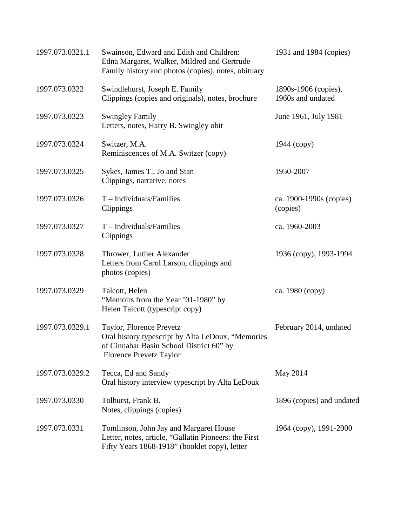| 1997.073.0321.1 | Swainson, Edward and Edith and Children:<br>Edna Margaret, Walker, Mildred and Gertrude<br>Family history and photos (copies), notes, obituary              | 1931 and 1984 (copies)                    |
|-----------------|-------------------------------------------------------------------------------------------------------------------------------------------------------------|-------------------------------------------|
| 1997.073.0322   | Swindlehurst, Joseph E. Family<br>Clippings (copies and originals), notes, brochure                                                                         | 1890s-1906 (copies),<br>1960s and undated |
| 1997.073.0323   | <b>Swingley Family</b><br>Letters, notes, Harry B. Swingley obit                                                                                            | June 1961, July 1981                      |
| 1997.073.0324   | Switzer, M.A.<br>Reminiscences of M.A. Switzer (copy)                                                                                                       | $1944$ (copy)                             |
| 1997.073.0325   | Sykes, James T., Jo and Stan<br>Clippings, narrative, notes                                                                                                 | 1950-2007                                 |
| 1997.073.0326   | $T$ – Individuals/Families<br>Clippings                                                                                                                     | ca. 1900-1990s (copies)<br>(copies)       |
| 1997.073.0327   | $T$ – Individuals/Families<br>Clippings                                                                                                                     | ca. 1960-2003                             |
| 1997.073.0328   | Thrower, Luther Alexander<br>Letters from Carol Larson, clippings and<br>photos (copies)                                                                    | 1936 (copy), 1993-1994                    |
| 1997.073.0329   | Talcott, Helen<br>"Memoirs from the Year '01-1980" by<br>Helen Talcott (typescript copy)                                                                    | ca. 1980 (copy)                           |
| 1997.073.0329.1 | Taylor, Florence Prevetz<br>Oral history typescript by Alta LeDoux, "Memories<br>of Cinnabar Basin School District 60" by<br><b>Florence Prevetz Taylor</b> | February 2014, undated                    |
| 1997.073.0329.2 | Tecca, Ed and Sandy<br>Oral history interview typescript by Alta LeDoux                                                                                     | May 2014                                  |
| 1997.073.0330   | Tolhurst, Frank B.<br>Notes, clippings (copies)                                                                                                             | 1896 (copies) and undated                 |
| 1997.073.0331   | Tomlinson, John Jay and Margaret House<br>Letter, notes, article, "Gallatin Pioneers: the First<br>Fifty Years 1868-1918" (booklet copy), letter            | 1964 (copy), 1991-2000                    |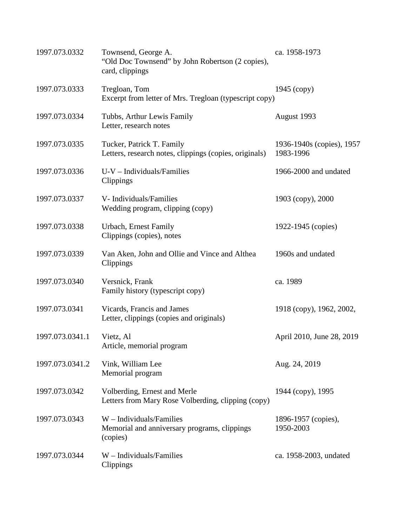| 1997.073.0332   | Townsend, George A.<br>"Old Doc Townsend" by John Robertson (2 copies),<br>card, clippings | ca. 1958-1973                          |
|-----------------|--------------------------------------------------------------------------------------------|----------------------------------------|
| 1997.073.0333   | Tregloan, Tom<br>Excerpt from letter of Mrs. Tregloan (typescript copy)                    | $1945$ (copy)                          |
| 1997.073.0334   | Tubbs, Arthur Lewis Family<br>Letter, research notes                                       | August 1993                            |
| 1997.073.0335   | Tucker, Patrick T. Family<br>Letters, research notes, clippings (copies, originals)        | 1936-1940s (copies), 1957<br>1983-1996 |
| 1997.073.0336   | $U-V$ – Individuals/Families<br>Clippings                                                  | 1966-2000 and undated                  |
| 1997.073.0337   | V-Individuals/Families<br>Wedding program, clipping (copy)                                 | 1903 (copy), 2000                      |
| 1997.073.0338   | Urbach, Ernest Family<br>Clippings (copies), notes                                         | 1922-1945 (copies)                     |
| 1997.073.0339   | Van Aken, John and Ollie and Vince and Althea<br>Clippings                                 | 1960s and undated                      |
| 1997.073.0340   | Versnick, Frank<br>Family history (typescript copy)                                        | ca. 1989                               |
| 1997.073.0341   | Vicards, Francis and James<br>Letter, clippings (copies and originals)                     | 1918 (сору), 1962, 2002,               |
| 1997.073.0341.1 | Vietz, Al<br>Article, memorial program                                                     | April 2010, June 28, 2019              |
| 1997.073.0341.2 | Vink, William Lee<br>Memorial program                                                      | Aug. 24, 2019                          |
| 1997.073.0342   | Volberding, Ernest and Merle<br>Letters from Mary Rose Volberding, clipping (copy)         | 1944 (copy), 1995                      |
| 1997.073.0343   | $W$ – Individuals/Families<br>Memorial and anniversary programs, clippings<br>(copies)     | 1896-1957 (copies),<br>1950-2003       |
| 1997.073.0344   | $W$ – Individuals/Families<br>Clippings                                                    | ca. 1958-2003, undated                 |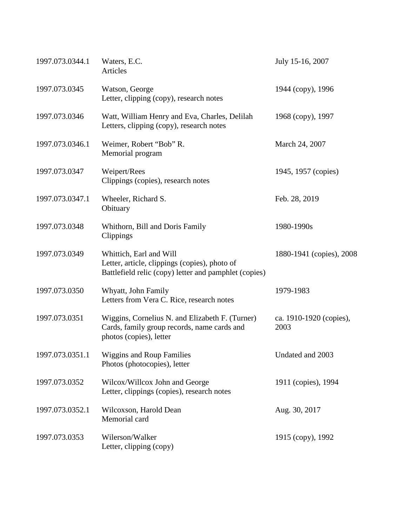| 1997.073.0344.1 | Waters, E.C.<br>Articles                                                                                                          | July 15-16, 2007                |
|-----------------|-----------------------------------------------------------------------------------------------------------------------------------|---------------------------------|
| 1997.073.0345   | Watson, George<br>Letter, clipping (copy), research notes                                                                         | 1944 (copy), 1996               |
| 1997.073.0346   | Watt, William Henry and Eva, Charles, Delilah<br>Letters, clipping (copy), research notes                                         | 1968 (copy), 1997               |
| 1997.073.0346.1 | Weimer, Robert "Bob" R.<br>Memorial program                                                                                       | March 24, 2007                  |
| 1997.073.0347   | Weipert/Rees<br>Clippings (copies), research notes                                                                                | 1945, 1957 (copies)             |
| 1997.073.0347.1 | Wheeler, Richard S.<br>Obituary                                                                                                   | Feb. 28, 2019                   |
| 1997.073.0348   | Whithorn, Bill and Doris Family<br>Clippings                                                                                      | 1980-1990s                      |
| 1997.073.0349   | Whittich, Earl and Will<br>Letter, article, clippings (copies), photo of<br>Battlefield relic (copy) letter and pamphlet (copies) | 1880-1941 (copies), 2008        |
| 1997.073.0350   | Whyatt, John Family<br>Letters from Vera C. Rice, research notes                                                                  | 1979-1983                       |
| 1997.073.0351   | Wiggins, Cornelius N. and Elizabeth F. (Turner)<br>Cards, family group records, name cards and<br>photos (copies), letter         | ca. 1910-1920 (copies),<br>2003 |
| 1997.073.0351.1 | <b>Wiggins and Roup Families</b><br>Photos (photocopies), letter                                                                  | Undated and 2003                |
| 1997.073.0352   | Wilcox/Willcox John and George<br>Letter, clippings (copies), research notes                                                      | 1911 (copies), 1994             |
| 1997.073.0352.1 | Wilcoxson, Harold Dean<br>Memorial card                                                                                           | Aug. 30, 2017                   |
| 1997.073.0353   | Wilerson/Walker<br>Letter, clipping (copy)                                                                                        | 1915 (copy), 1992               |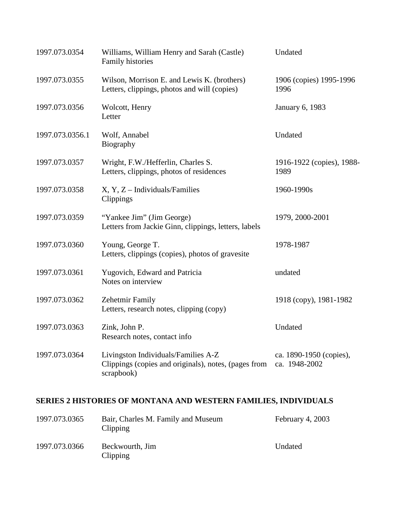| 1997.073.0354   | Williams, William Henry and Sarah (Castle)<br>Family histories                                            | Undated                                  |
|-----------------|-----------------------------------------------------------------------------------------------------------|------------------------------------------|
| 1997.073.0355   | Wilson, Morrison E. and Lewis K. (brothers)<br>Letters, clippings, photos and will (copies)               | 1906 (copies) 1995-1996<br>1996          |
| 1997.073.0356   | Wolcott, Henry<br>Letter                                                                                  | <b>January 6, 1983</b>                   |
| 1997.073.0356.1 | Wolf, Annabel<br>Biography                                                                                | Undated                                  |
| 1997.073.0357   | Wright, F.W./Hefferlin, Charles S.<br>Letters, clippings, photos of residences                            | 1916-1922 (copies), 1988-<br>1989        |
| 1997.073.0358   | $X, Y, Z$ – Individuals/Families<br>Clippings                                                             | 1960-1990s                               |
| 1997.073.0359   | "Yankee Jim" (Jim George)<br>Letters from Jackie Ginn, clippings, letters, labels                         | 1979, 2000-2001                          |
| 1997.073.0360   | Young, George T.<br>Letters, clippings (copies), photos of gravesite                                      | 1978-1987                                |
| 1997.073.0361   | Yugovich, Edward and Patricia<br>Notes on interview                                                       | undated                                  |
| 1997.073.0362   | Zehetmir Family<br>Letters, research notes, clipping (copy)                                               | 1918 (copy), 1981-1982                   |
| 1997.073.0363   | Zink, John P.<br>Research notes, contact info                                                             | Undated                                  |
| 1997.073.0364   | Livingston Individuals/Families A-Z<br>Clippings (copies and originals), notes, (pages from<br>scrapbook) | ca. 1890-1950 (copies),<br>ca. 1948-2002 |

## **SERIES 2 HISTORIES OF MONTANA AND WESTERN FAMILIES, INDIVIDUALS**

| 1997.073.0365 | Bair, Charles M. Family and Museum<br>Clipping | February 4, $2003$ |
|---------------|------------------------------------------------|--------------------|
| 1997.073.0366 | Beckwourth, Jim<br>Clipping                    | Undated            |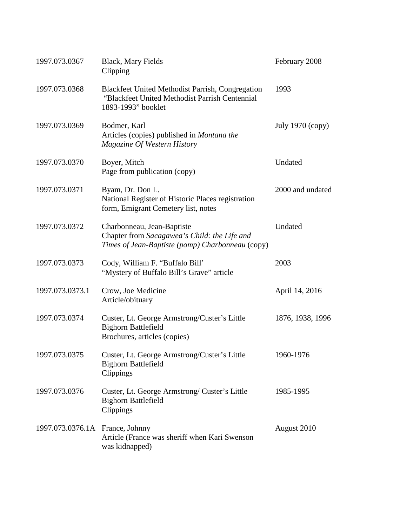| 1997.073.0367                   | <b>Black, Mary Fields</b><br>Clipping                                                                                           | February 2008    |
|---------------------------------|---------------------------------------------------------------------------------------------------------------------------------|------------------|
| 1997.073.0368                   | <b>Blackfeet United Methodist Parrish, Congregation</b><br>"Blackfeet United Methodist Parrish Centennial<br>1893-1993" booklet | 1993             |
| 1997.073.0369                   | Bodmer, Karl<br>Articles (copies) published in Montana the<br>Magazine Of Western History                                       | July 1970 (copy) |
| 1997.073.0370                   | Boyer, Mitch<br>Page from publication (copy)                                                                                    | Undated          |
| 1997.073.0371                   | Byam, Dr. Don L.<br>National Register of Historic Places registration<br>form, Emigrant Cemetery list, notes                    | 2000 and undated |
| 1997.073.0372                   | Charbonneau, Jean-Baptiste<br>Chapter from Sacagawea's Child: the Life and<br>Times of Jean-Baptiste (pomp) Charbonneau (copy)  | Undated          |
| 1997.073.0373                   | Cody, William F. "Buffalo Bill"<br>"Mystery of Buffalo Bill's Grave" article                                                    | 2003             |
| 1997.073.0373.1                 | Crow, Joe Medicine<br>Article/obituary                                                                                          | April 14, 2016   |
| 1997.073.0374                   | Custer, Lt. George Armstrong/Custer's Little<br><b>Bighorn Battlefield</b><br>Brochures, articles (copies)                      | 1876, 1938, 1996 |
| 1997.073.0375                   | Custer, Lt. George Armstrong/Custer's Little<br><b>Bighorn Battlefield</b><br>Clippings                                         | 1960-1976        |
| 1997.073.0376                   | Custer, Lt. George Armstrong/ Custer's Little<br><b>Bighorn Battlefield</b><br>Clippings                                        | 1985-1995        |
| 1997.073.0376.1A France, Johnny | Article (France was sheriff when Kari Swenson<br>was kidnapped)                                                                 | August 2010      |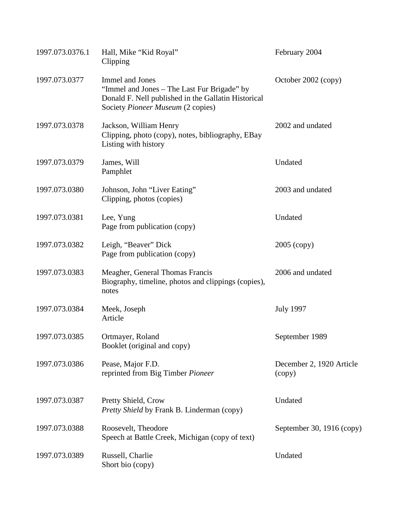| 1997.073.0376.1 | Hall, Mike "Kid Royal"<br>Clipping                                                                                                                         | February 2004                      |
|-----------------|------------------------------------------------------------------------------------------------------------------------------------------------------------|------------------------------------|
| 1997.073.0377   | Immel and Jones<br>"Immel and Jones – The Last Fur Brigade" by<br>Donald F. Nell published in the Gallatin Historical<br>Society Pioneer Museum (2 copies) | October 2002 (copy)                |
| 1997.073.0378   | Jackson, William Henry<br>Clipping, photo (copy), notes, bibliography, EBay<br>Listing with history                                                        | 2002 and undated                   |
| 1997.073.0379   | James, Will<br>Pamphlet                                                                                                                                    | Undated                            |
| 1997.073.0380   | Johnson, John "Liver Eating"<br>Clipping, photos (copies)                                                                                                  | 2003 and undated                   |
| 1997.073.0381   | Lee, Yung<br>Page from publication (copy)                                                                                                                  | Undated                            |
| 1997.073.0382   | Leigh, "Beaver" Dick<br>Page from publication (copy)                                                                                                       | 2005 (copy)                        |
| 1997.073.0383   | Meagher, General Thomas Francis<br>Biography, timeline, photos and clippings (copies),<br>notes                                                            | 2006 and undated                   |
| 1997.073.0384   | Meek, Joseph<br>Article                                                                                                                                    | <b>July 1997</b>                   |
| 1997.073.0385   | Ortmayer, Roland<br>Booklet (original and copy)                                                                                                            | September 1989                     |
| 1997.073.0386   | Pease, Major F.D.<br>reprinted from Big Timber Pioneer                                                                                                     | December 2, 1920 Article<br>(copy) |
| 1997.073.0387   | Pretty Shield, Crow<br>Pretty Shield by Frank B. Linderman (copy)                                                                                          | Undated                            |
| 1997.073.0388   | Roosevelt, Theodore<br>Speech at Battle Creek, Michigan (copy of text)                                                                                     | September 30, 1916 (copy)          |
| 1997.073.0389   | Russell, Charlie<br>Short bio (copy)                                                                                                                       | Undated                            |